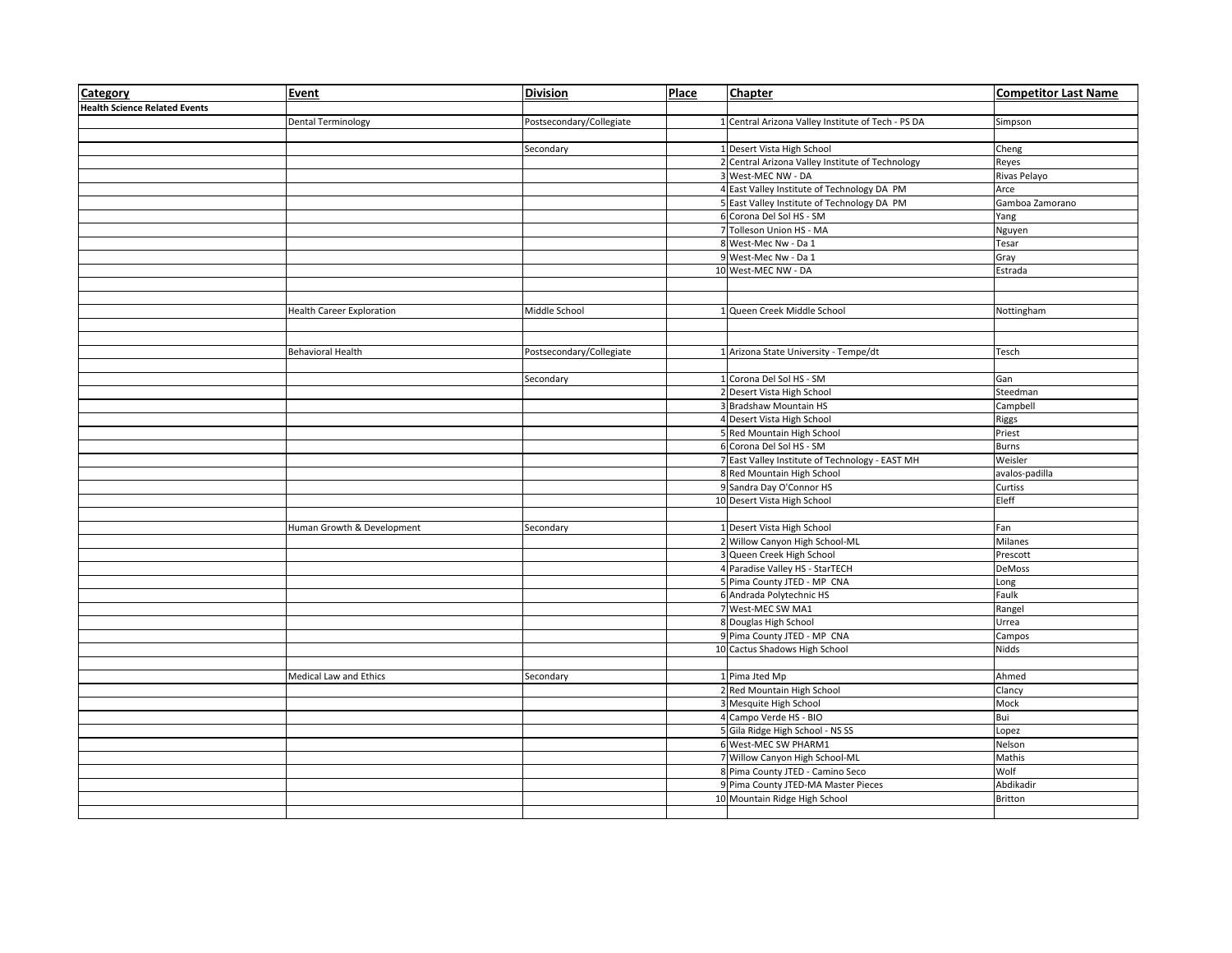| <b>Category</b>                      | Event                            | <b>Division</b>          | Place | <b>Chapter</b>                                     | <b>Competitor Last Name</b> |
|--------------------------------------|----------------------------------|--------------------------|-------|----------------------------------------------------|-----------------------------|
| <b>Health Science Related Events</b> |                                  |                          |       |                                                    |                             |
|                                      | <b>Dental Terminology</b>        | Postsecondary/Collegiate |       | 1 Central Arizona Valley Institute of Tech - PS DA | Simpson                     |
|                                      |                                  |                          |       |                                                    |                             |
|                                      |                                  | Secondary                |       | 1 Desert Vista High School                         | Cheng                       |
|                                      |                                  |                          |       | 2 Central Arizona Valley Institute of Technology   | Reyes                       |
|                                      |                                  |                          |       | 3 West-MEC NW - DA                                 | Rivas Pelayo                |
|                                      |                                  |                          |       | 4 East Valley Institute of Technology DA PM        | Arce                        |
|                                      |                                  |                          |       | 5 East Valley Institute of Technology DA PM        | Gamboa Zamorano             |
|                                      |                                  |                          |       | 6 Corona Del Sol HS - SM                           | Yang                        |
|                                      |                                  |                          |       | 7 Tolleson Union HS - MA                           | Nguyen                      |
|                                      |                                  |                          |       | 8 West-Mec Nw - Da 1                               | Tesar                       |
|                                      |                                  |                          |       | 9 West-Mec Nw - Da 1                               | Gray                        |
|                                      |                                  |                          |       | 10 West-MEC NW - DA                                | Estrada                     |
|                                      |                                  |                          |       |                                                    |                             |
|                                      |                                  |                          |       |                                                    |                             |
|                                      | <b>Health Career Exploration</b> | Middle School            |       | 1 Queen Creek Middle School                        | Nottingham                  |
|                                      |                                  |                          |       |                                                    |                             |
|                                      |                                  |                          |       |                                                    |                             |
|                                      | <b>Behavioral Health</b>         | Postsecondary/Collegiate |       | 1 Arizona State University - Tempe/dt              | Tesch                       |
|                                      |                                  |                          |       |                                                    |                             |
|                                      |                                  | Secondary                |       | 1 Corona Del Sol HS - SM                           | Gan                         |
|                                      |                                  |                          |       | 2 Desert Vista High School                         | Steedman                    |
|                                      |                                  |                          |       | 3 Bradshaw Mountain HS                             | Campbell                    |
|                                      |                                  |                          |       | 4 Desert Vista High School                         | Riggs                       |
|                                      |                                  |                          |       | 5 Red Mountain High School                         | Priest                      |
|                                      |                                  |                          |       | 6 Corona Del Sol HS - SM                           | <b>Burns</b>                |
|                                      |                                  |                          |       | 7 East Valley Institute of Technology - EAST MH    | Weisler                     |
|                                      |                                  |                          |       | 8 Red Mountain High School                         | avalos-padilla              |
|                                      |                                  |                          |       | 9 Sandra Day O'Connor HS                           | Curtiss                     |
|                                      |                                  |                          |       | 10 Desert Vista High School                        | Eleff                       |
|                                      |                                  |                          |       |                                                    |                             |
|                                      | Human Growth & Development       | Secondary                |       | 1 Desert Vista High School                         | Fan                         |
|                                      |                                  |                          |       | 2 Willow Canyon High School-ML                     | Milanes                     |
|                                      |                                  |                          |       | 3 Queen Creek High School                          | Prescott                    |
|                                      |                                  |                          |       | 4 Paradise Valley HS - StarTECH                    | DeMoss                      |
|                                      |                                  |                          |       | 5 Pima County JTED - MP CNA                        | Long                        |
|                                      |                                  |                          |       | 6 Andrada Polytechnic HS                           | Faulk                       |
|                                      |                                  |                          |       | 7 West-MEC SW MA1                                  | Rangel                      |
|                                      |                                  |                          |       | 8 Douglas High School                              | Urrea                       |
|                                      |                                  |                          |       | 9 Pima County JTED - MP CNA                        | Campos                      |
|                                      |                                  |                          |       | 10 Cactus Shadows High School                      | Nidds                       |
|                                      |                                  |                          |       |                                                    |                             |
|                                      | Medical Law and Ethics           |                          |       | 1 Pima Jted Mp                                     | Ahmed                       |
|                                      |                                  | Secondary                |       | 2 Red Mountain High School                         |                             |
|                                      |                                  |                          |       |                                                    | Clancy                      |
|                                      |                                  |                          |       | 3 Mesquite High School                             | Mock                        |
|                                      |                                  |                          |       | 4 Campo Verde HS - BIO                             | Bui                         |
|                                      |                                  |                          |       | 5 Gila Ridge High School - NS SS                   | Lopez                       |
|                                      |                                  |                          |       | 6 West-MEC SW PHARM1                               | Nelson                      |
|                                      |                                  |                          |       | 7 Willow Canyon High School-ML                     | Mathis                      |
|                                      |                                  |                          |       | 8 Pima County JTED - Camino Seco                   | Wolf                        |
|                                      |                                  |                          |       | 9 Pima County JTED-MA Master Pieces                | Abdikadir                   |
|                                      |                                  |                          |       | 10 Mountain Ridge High School                      | <b>Britton</b>              |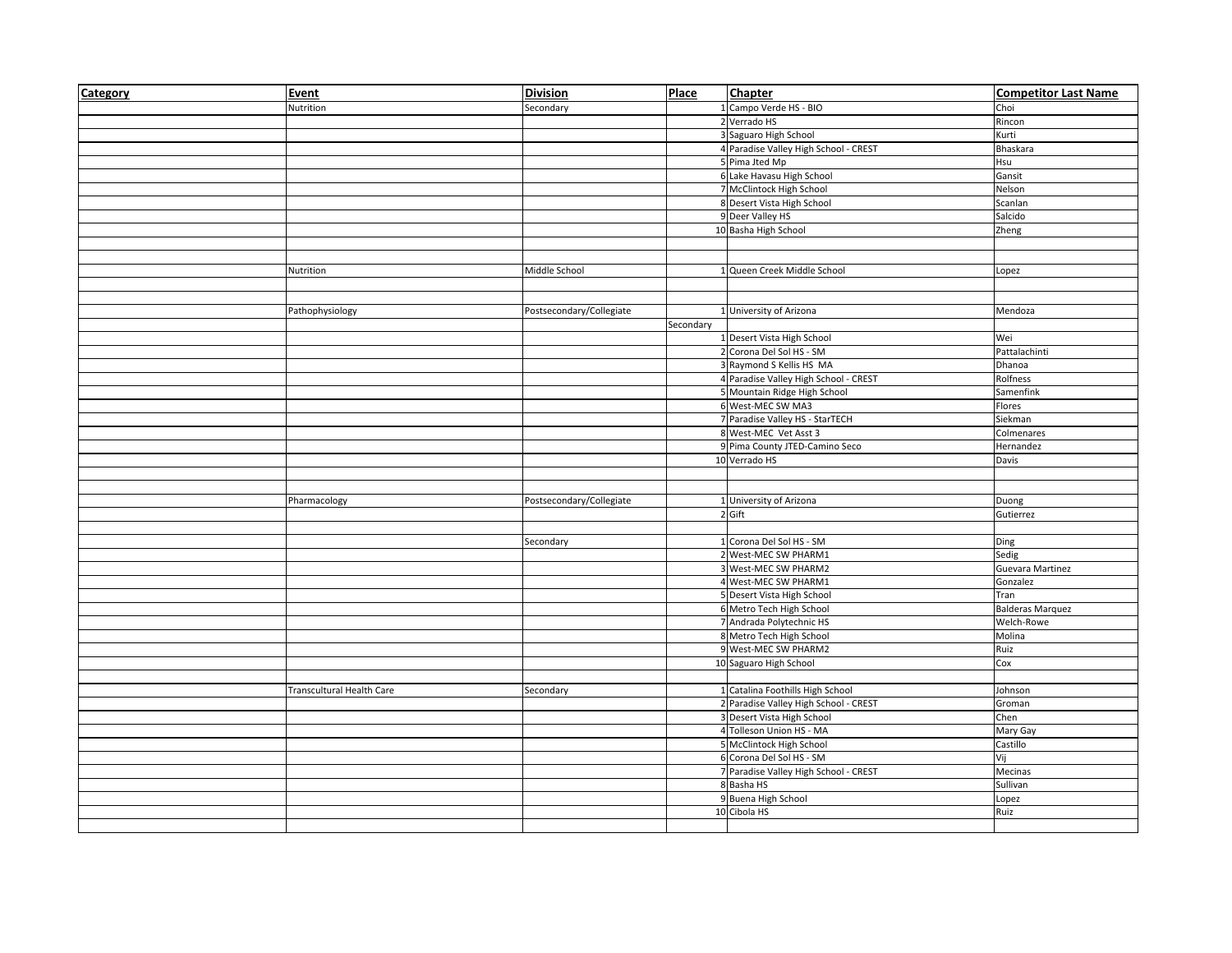| Category | Event                     | <b>Division</b>          | <b>Place</b> | Chapter                               | <b>Competitor Last Name</b> |
|----------|---------------------------|--------------------------|--------------|---------------------------------------|-----------------------------|
|          | Nutrition                 | Secondary                |              | 1 Campo Verde HS - BIO                | Choi                        |
|          |                           |                          |              | 2 Verrado HS                          | Rincon                      |
|          |                           |                          |              | 3 Saguaro High School                 | Kurti                       |
|          |                           |                          |              | 4 Paradise Valley High School - CREST | Bhaskara                    |
|          |                           |                          |              | 5 Pima Jted Mp                        | Hsu                         |
|          |                           |                          |              | 6 Lake Havasu High School             | Gansit                      |
|          |                           |                          |              | 7 McClintock High School              | Nelson                      |
|          |                           |                          |              | 8 Desert Vista High School            | Scanlan                     |
|          |                           |                          |              | 9 Deer Valley HS                      | Salcido                     |
|          |                           |                          |              | 10 Basha High School                  | Zheng                       |
|          |                           |                          |              |                                       |                             |
|          |                           |                          |              |                                       |                             |
|          | Nutrition                 | Middle School            |              | 1 Queen Creek Middle School           | Lopez                       |
|          |                           |                          |              |                                       |                             |
|          |                           |                          |              |                                       |                             |
|          | Pathophysiology           | Postsecondary/Collegiate |              | 1 University of Arizona               | Mendoza                     |
|          |                           |                          | Secondary    |                                       |                             |
|          |                           |                          |              | 1 Desert Vista High School            | Wei                         |
|          |                           |                          |              | 2 Corona Del Sol HS - SM              | Pattalachinti               |
|          |                           |                          |              | 3 Raymond S Kellis HS MA              | Dhanoa                      |
|          |                           |                          |              | 4 Paradise Valley High School - CREST | Rolfness                    |
|          |                           |                          |              | 5 Mountain Ridge High School          | Samenfink                   |
|          |                           |                          |              | 6 West-MEC SW MA3                     | Flores                      |
|          |                           |                          |              | 7 Paradise Valley HS - StarTECH       | Siekman                     |
|          |                           |                          |              | 8 West-MEC Vet Asst 3                 | Colmenares                  |
|          |                           |                          |              | 9 Pima County JTED-Camino Seco        | Hernandez                   |
|          |                           |                          |              | 10 Verrado HS                         | Davis                       |
|          |                           |                          |              |                                       |                             |
|          |                           |                          |              |                                       |                             |
|          | Pharmacology              | Postsecondary/Collegiate |              | 1 University of Arizona<br>2 Gift     | Duong<br>Gutierrez          |
|          |                           |                          |              |                                       |                             |
|          |                           | Secondary                |              | 1 Corona Del Sol HS - SM              | Ding                        |
|          |                           |                          |              | 2 West-MEC SW PHARM1                  | Sedig                       |
|          |                           |                          |              | 3 West-MEC SW PHARM2                  | Guevara Martinez            |
|          |                           |                          |              | 4 West-MEC SW PHARM1                  | Gonzalez                    |
|          |                           |                          |              | 5 Desert Vista High School            | Tran                        |
|          |                           |                          |              | 6 Metro Tech High School              | <b>Balderas Marquez</b>     |
|          |                           |                          |              | 7 Andrada Polytechnic HS              | Welch-Rowe                  |
|          |                           |                          |              | 8 Metro Tech High School              | Molina                      |
|          |                           |                          |              | 9 West-MEC SW PHARM2                  | Ruiz                        |
|          |                           |                          |              | 10 Saguaro High School                | Cox                         |
|          |                           |                          |              |                                       |                             |
|          | Transcultural Health Care | Secondary                |              | 1 Catalina Foothills High School      | Johnson                     |
|          |                           |                          |              | 2 Paradise Valley High School - CREST | Groman                      |
|          |                           |                          |              | 3 Desert Vista High School            | Chen                        |
|          |                           |                          |              | 4 Tolleson Union HS - MA              | Mary Gay                    |
|          |                           |                          |              | 5 McClintock High School              | Castillo                    |
|          |                           |                          |              | 6 Corona Del Sol HS - SM              | Vij                         |
|          |                           |                          |              | 7 Paradise Valley High School - CREST | Mecinas                     |
|          |                           |                          |              | 8 Basha HS                            | Sullivan                    |
|          |                           |                          |              | 9 Buena High School                   | Lopez                       |
|          |                           |                          |              | 10 Cibola HS                          | Ruiz                        |
|          |                           |                          |              |                                       |                             |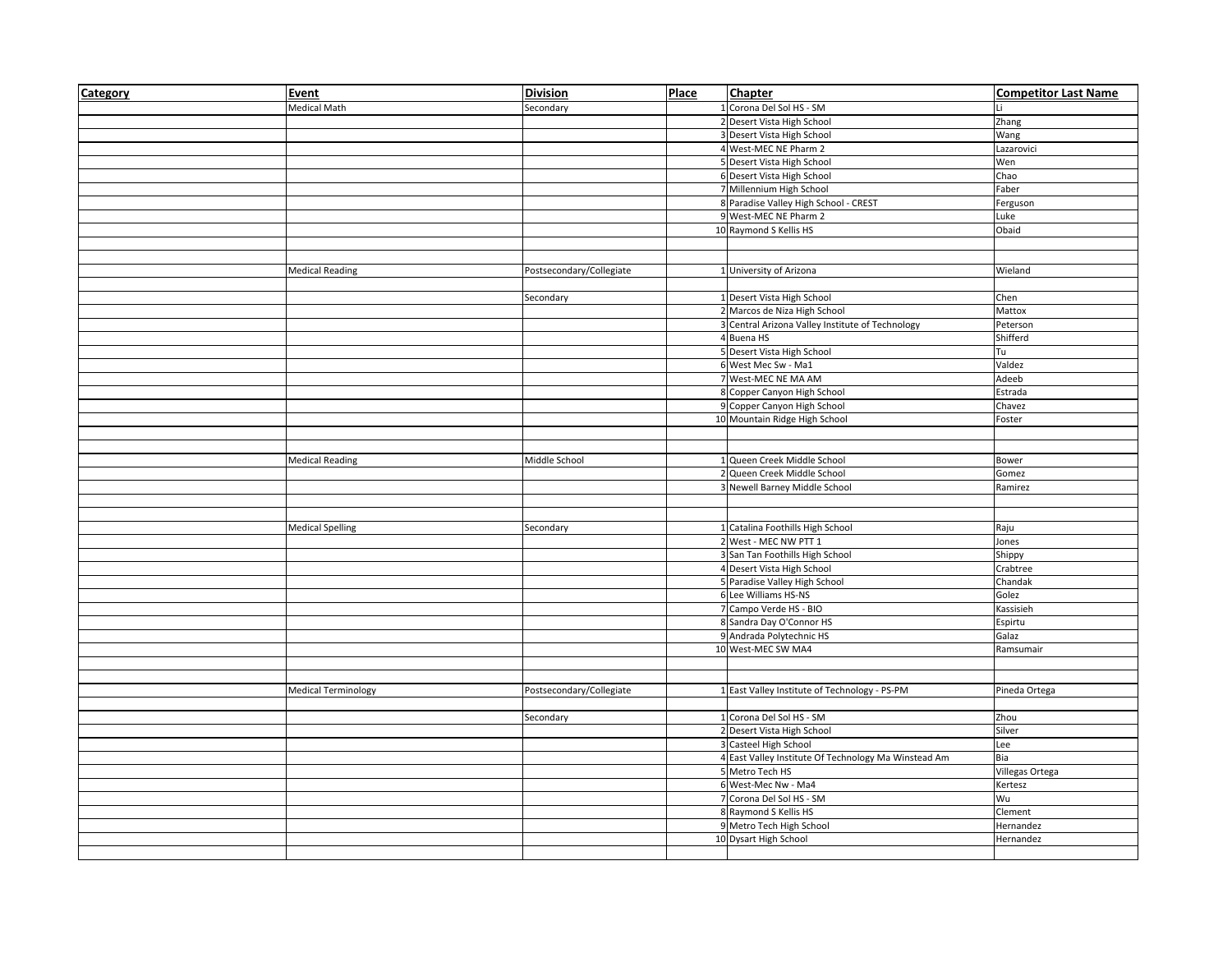| Category | Event                      | <b>Division</b>          | Place | Chapter                                              | <b>Competitor Last Name</b> |
|----------|----------------------------|--------------------------|-------|------------------------------------------------------|-----------------------------|
|          | <b>Medical Math</b>        | Secondary                |       | 1 Corona Del Sol HS - SM                             | Li                          |
|          |                            |                          |       | 2 Desert Vista High School                           | Zhang                       |
|          |                            |                          |       | 3 Desert Vista High School                           | Wang                        |
|          |                            |                          |       | 4 West-MEC NE Pharm 2                                | Lazarovici                  |
|          |                            |                          |       | 5 Desert Vista High School                           | Wen                         |
|          |                            |                          |       | 6 Desert Vista High School                           | Chao                        |
|          |                            |                          |       | 7 Millennium High School                             | Faber                       |
|          |                            |                          |       | 8 Paradise Valley High School - CREST                | Ferguson                    |
|          |                            |                          |       | 9 West-MEC NE Pharm 2                                | Luke                        |
|          |                            |                          |       | 10 Raymond S Kellis HS                               | Obaid                       |
|          |                            |                          |       |                                                      |                             |
|          |                            |                          |       |                                                      |                             |
|          | <b>Medical Reading</b>     | Postsecondary/Collegiate |       | 1 University of Arizona                              | Wieland                     |
|          |                            |                          |       |                                                      |                             |
|          |                            | Secondary                |       | 1 Desert Vista High School                           | Chen                        |
|          |                            |                          |       | 2 Marcos de Niza High School                         | Mattox                      |
|          |                            |                          |       | 3 Central Arizona Valley Institute of Technology     | Peterson                    |
|          |                            |                          |       | 4 Buena HS                                           | Shifferd                    |
|          |                            |                          |       | 5 Desert Vista High School                           | Tu                          |
|          |                            |                          |       | 6 West Mec Sw - Ma1                                  | Valdez                      |
|          |                            |                          |       | 7 West-MEC NE MA AM                                  | Adeeb                       |
|          |                            |                          |       | 8 Copper Canyon High School                          | Estrada                     |
|          |                            |                          |       | 9 Copper Canyon High School                          | Chavez                      |
|          |                            |                          |       | 10 Mountain Ridge High School                        | Foster                      |
|          |                            |                          |       |                                                      |                             |
|          |                            |                          |       |                                                      |                             |
|          | <b>Medical Reading</b>     | Middle School            |       | 1 Queen Creek Middle School                          | Bower                       |
|          |                            |                          |       | 2 Queen Creek Middle School                          | Gomez                       |
|          |                            |                          |       | 3 Newell Barney Middle School                        | Ramirez                     |
|          |                            |                          |       |                                                      |                             |
|          |                            |                          |       |                                                      |                             |
|          | <b>Medical Spelling</b>    | Secondary                |       | 1 Catalina Foothills High School                     | Raju                        |
|          |                            |                          |       | 2 West - MEC NW PTT 1                                | Jones                       |
|          |                            |                          |       | 3 San Tan Foothills High School                      | Shippy                      |
|          |                            |                          |       | 4 Desert Vista High School                           | Crabtree                    |
|          |                            |                          |       | 5 Paradise Valley High School                        | Chandak                     |
|          |                            |                          |       | 6 Lee Williams HS-NS                                 | Golez                       |
|          |                            |                          |       | 7 Campo Verde HS - BIO                               | Kassisieh                   |
|          |                            |                          |       | 8 Sandra Day O'Connor HS                             | Espirtu                     |
|          |                            |                          |       | 9 Andrada Polytechnic HS                             | Galaz                       |
|          |                            |                          |       | 10 West-MEC SW MA4                                   | Ramsumair                   |
|          |                            |                          |       |                                                      |                             |
|          |                            |                          |       |                                                      |                             |
|          | <b>Medical Terminology</b> | Postsecondary/Collegiate |       | 1 East Valley Institute of Technology - PS-PM        | Pineda Ortega               |
|          |                            |                          |       |                                                      |                             |
|          |                            | Secondary                |       | 1 Corona Del Sol HS - SM                             | Zhou                        |
|          |                            |                          |       | 2 Desert Vista High School                           | Silver                      |
|          |                            |                          |       | 3 Casteel High School                                | Lee                         |
|          |                            |                          |       | 4 East Valley Institute Of Technology Ma Winstead Am | Bia                         |
|          |                            |                          |       | 5 Metro Tech HS                                      | Villegas Ortega             |
|          |                            |                          |       | 6 West-Mec Nw - Ma4                                  | Kertesz                     |
|          |                            |                          |       | 7 Corona Del Sol HS - SM                             | Wu                          |
|          |                            |                          |       | 8 Raymond S Kellis HS                                | Clement                     |
|          |                            |                          |       | 9 Metro Tech High School                             | Hernandez                   |
|          |                            |                          |       | 10 Dysart High School                                | Hernandez                   |
|          |                            |                          |       |                                                      |                             |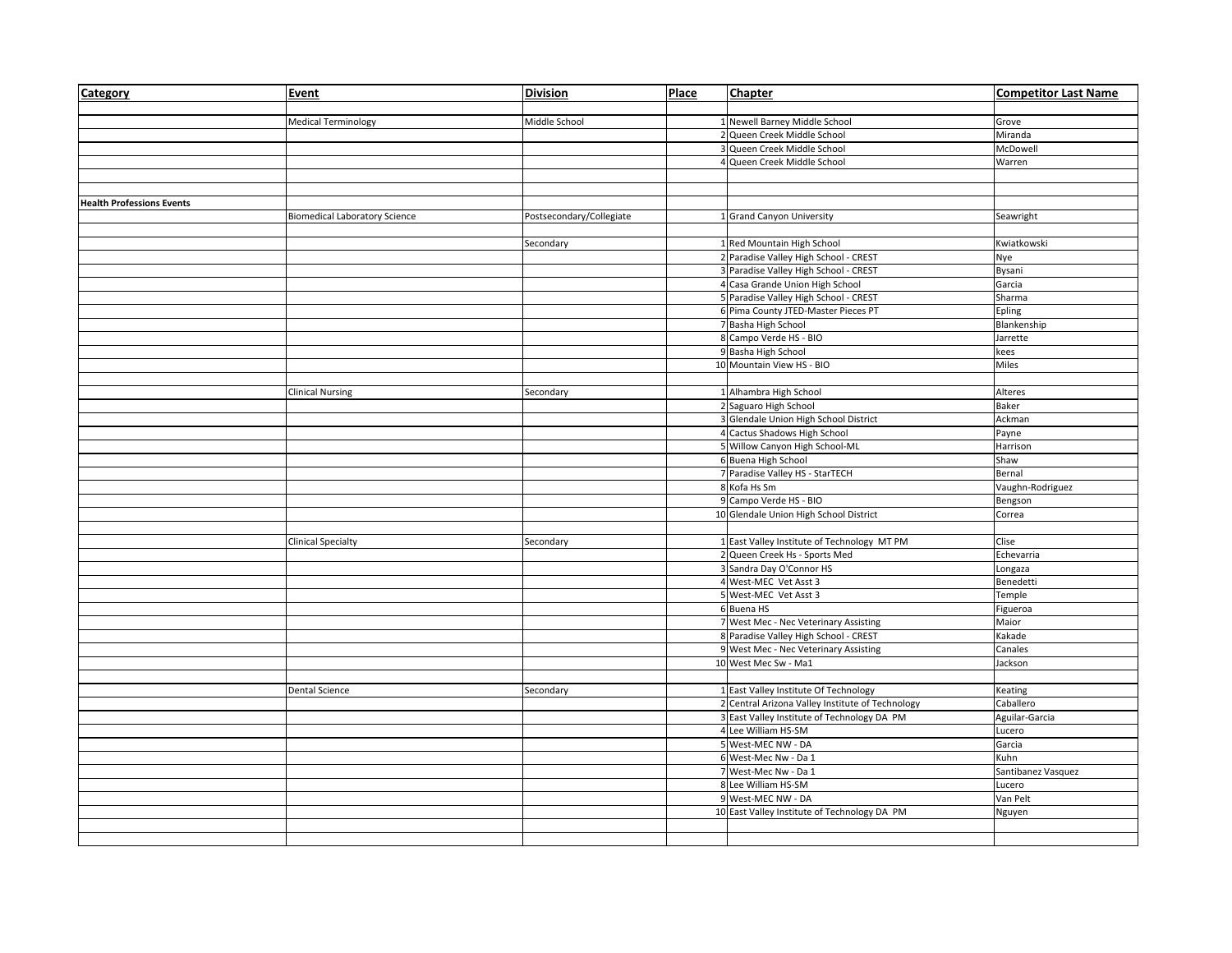| Category                         | Event                                | <b>Division</b>          | Place | <b>Chapter</b>                                   | <b>Competitor Last Name</b> |
|----------------------------------|--------------------------------------|--------------------------|-------|--------------------------------------------------|-----------------------------|
|                                  |                                      |                          |       |                                                  |                             |
|                                  | <b>Medical Terminology</b>           | Middle School            |       | 1 Newell Barney Middle School                    | Grove                       |
|                                  |                                      |                          |       | 2 Queen Creek Middle School                      | Miranda                     |
|                                  |                                      |                          |       | 3 Queen Creek Middle School                      | McDowell                    |
|                                  |                                      |                          |       | 4 Queen Creek Middle School                      | Warren                      |
|                                  |                                      |                          |       |                                                  |                             |
|                                  |                                      |                          |       |                                                  |                             |
| <b>Health Professions Events</b> |                                      |                          |       |                                                  |                             |
|                                  | <b>Biomedical Laboratory Science</b> | Postsecondary/Collegiate |       | 1 Grand Canyon University                        | Seawright                   |
|                                  |                                      |                          |       |                                                  |                             |
|                                  |                                      | Secondary                |       | 1 Red Mountain High School                       | Kwiatkowski                 |
|                                  |                                      |                          |       | 2 Paradise Valley High School - CREST            | Nye                         |
|                                  |                                      |                          |       | 3 Paradise Valley High School - CREST            | Bysani                      |
|                                  |                                      |                          |       | 4 Casa Grande Union High School                  | Garcia                      |
|                                  |                                      |                          |       | 5 Paradise Valley High School - CREST            | Sharma                      |
|                                  |                                      |                          |       | 6 Pima County JTED-Master Pieces PT              | Epling                      |
|                                  |                                      |                          |       | 7 Basha High School                              | Blankenship                 |
|                                  |                                      |                          |       | 8 Campo Verde HS - BIO                           | Jarrette                    |
|                                  |                                      |                          |       | 9 Basha High School                              | kees                        |
|                                  |                                      |                          |       | 10 Mountain View HS - BIO                        | Miles                       |
|                                  |                                      |                          |       |                                                  |                             |
|                                  | <b>Clinical Nursing</b>              | Secondary                |       | 1 Alhambra High School                           | Alteres                     |
|                                  |                                      |                          |       | 2 Saguaro High School                            | Baker                       |
|                                  |                                      |                          |       | 3 Glendale Union High School District            | Ackman                      |
|                                  |                                      |                          |       | 4 Cactus Shadows High School                     | Payne                       |
|                                  |                                      |                          |       | 5 Willow Canyon High School-ML                   | Harrison                    |
|                                  |                                      |                          |       | 6 Buena High School                              | Shaw                        |
|                                  |                                      |                          |       | 7 Paradise Valley HS - StarTECH                  | Bernal                      |
|                                  |                                      |                          |       | 8 Kofa Hs Sm                                     | Vaughn-Rodriguez            |
|                                  |                                      |                          |       | 9 Campo Verde HS - BIO                           | Bengson                     |
|                                  |                                      |                          |       | 10 Glendale Union High School District           | Correa                      |
|                                  |                                      |                          |       |                                                  |                             |
|                                  | <b>Clinical Specialty</b>            | Secondary                |       | 1 East Valley Institute of Technology MT PM      | Clise                       |
|                                  |                                      |                          |       | 2 Queen Creek Hs - Sports Med                    | Echevarria                  |
|                                  |                                      |                          |       | 3 Sandra Day O'Connor HS                         | Longaza                     |
|                                  |                                      |                          |       | 4 West-MEC Vet Asst 3                            | Benedetti                   |
|                                  |                                      |                          |       | 5 West-MEC Vet Asst 3                            | Temple                      |
|                                  |                                      |                          |       | 6 Buena HS                                       | Figueroa                    |
|                                  |                                      |                          |       | 7 West Mec - Nec Veterinary Assisting            | Maior                       |
|                                  |                                      |                          |       | 8 Paradise Valley High School - CREST            | Kakade                      |
|                                  |                                      |                          |       | 9 West Mec - Nec Veterinary Assisting            | Canales                     |
|                                  |                                      |                          |       | 10 West Mec Sw - Ma1                             | Jackson                     |
|                                  |                                      |                          |       |                                                  |                             |
|                                  | <b>Dental Science</b>                | Secondary                |       | 1 East Valley Institute Of Technology            | Keating                     |
|                                  |                                      |                          |       | 2 Central Arizona Valley Institute of Technology | Caballero                   |
|                                  |                                      |                          |       | 3 East Valley Institute of Technology DA PM      | Aguilar-Garcia              |
|                                  |                                      |                          |       | 4 Lee William HS-SM                              | Lucero                      |
|                                  |                                      |                          |       | 5 West-MEC NW - DA                               | Garcia                      |
|                                  |                                      |                          |       | 6 West-Mec Nw - Da 1                             | Kuhn                        |
|                                  |                                      |                          |       | 7 West-Mec Nw - Da 1                             | Santibanez Vasquez          |
|                                  |                                      |                          |       | 8 Lee William HS-SM                              | Lucero                      |
|                                  |                                      |                          |       | 9 West-MEC NW - DA                               | Van Pelt                    |
|                                  |                                      |                          |       | 10 East Valley Institute of Technology DA PM     | Nguyen                      |
|                                  |                                      |                          |       |                                                  |                             |
|                                  |                                      |                          |       |                                                  |                             |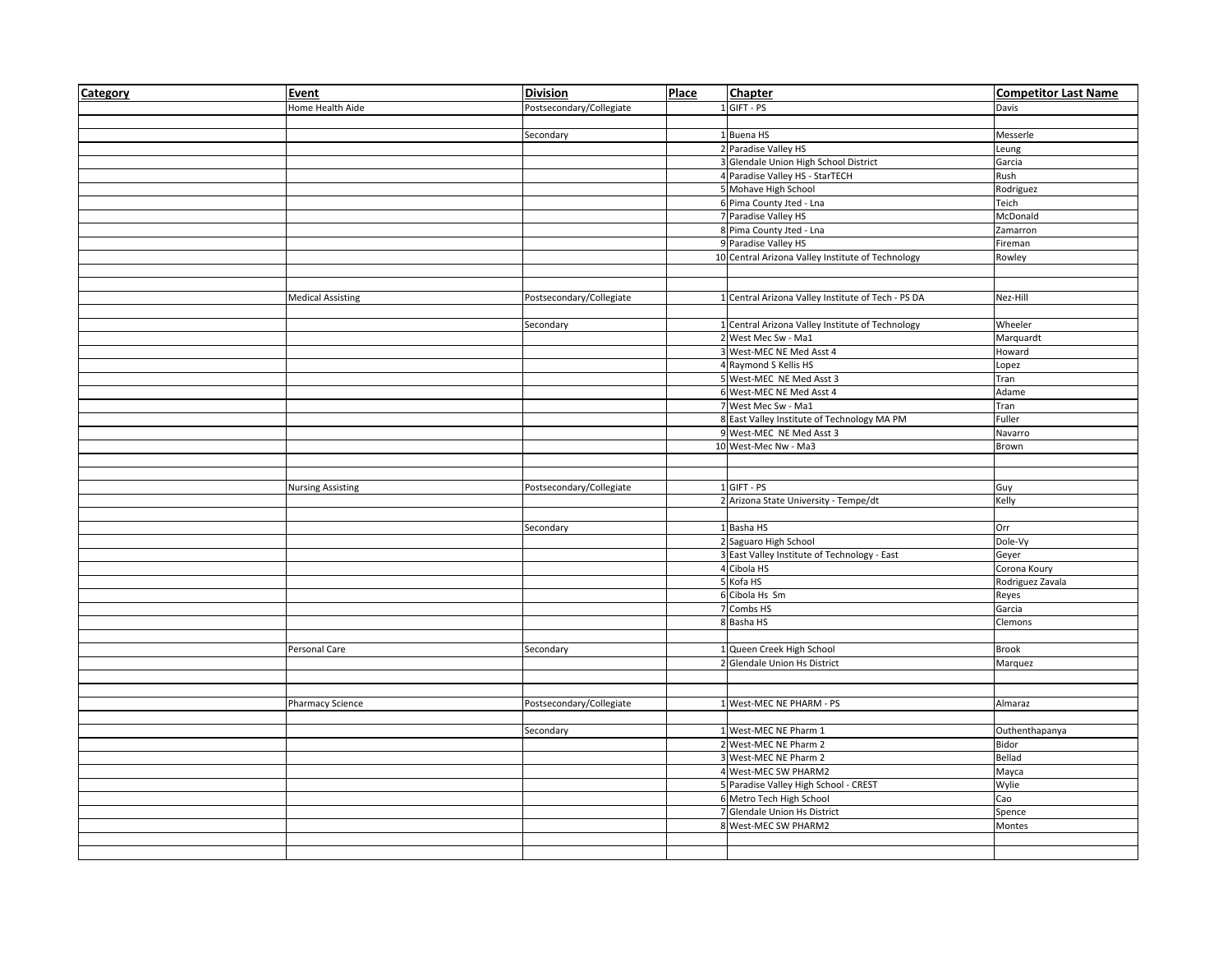| Category | Event                    | <b>Division</b>          | Place | Chapter                                            | <b>Competitor Last Name</b> |
|----------|--------------------------|--------------------------|-------|----------------------------------------------------|-----------------------------|
|          | Home Health Aide         | Postsecondary/Collegiate |       | 1 GIFT - PS                                        | Davis                       |
|          |                          |                          |       |                                                    |                             |
|          |                          | Secondary                |       | 1 Buena HS                                         | Messerle                    |
|          |                          |                          |       | 2 Paradise Valley HS                               | Leung                       |
|          |                          |                          |       | 3 Glendale Union High School District              | Garcia                      |
|          |                          |                          |       | 4 Paradise Valley HS - StarTECH                    | Rush                        |
|          |                          |                          |       | 5 Mohave High School                               | Rodriguez                   |
|          |                          |                          |       | 6 Pima County Jted - Lna                           | Teich                       |
|          |                          |                          |       | 7 Paradise Valley HS                               | McDonald                    |
|          |                          |                          |       | 8 Pima County Jted - Lna                           | Zamarron                    |
|          |                          |                          |       | 9 Paradise Valley HS                               | Fireman                     |
|          |                          |                          |       | 10 Central Arizona Valley Institute of Technology  | Rowley                      |
|          |                          |                          |       |                                                    |                             |
|          |                          |                          |       |                                                    |                             |
|          | <b>Medical Assisting</b> | Postsecondary/Collegiate |       | 1 Central Arizona Valley Institute of Tech - PS DA | Nez-Hill                    |
|          |                          |                          |       |                                                    |                             |
|          |                          | Secondary                |       | 1 Central Arizona Valley Institute of Technology   | Wheeler                     |
|          |                          |                          |       | 2 West Mec Sw - Ma1                                | Marquardt                   |
|          |                          |                          |       | 3 West-MEC NE Med Asst 4<br>4 Raymond S Kellis HS  | Howard                      |
|          |                          |                          |       | 5 West-MEC NE Med Asst 3                           | Lopez<br>Tran               |
|          |                          |                          |       | 6 West-MEC NE Med Asst 4                           | Adame                       |
|          |                          |                          |       | 7 West Mec Sw - Ma1                                | Tran                        |
|          |                          |                          |       | 8 East Valley Institute of Technology MA PM        | Fuller                      |
|          |                          |                          |       | 9 West-MEC NE Med Asst 3                           | Navarro                     |
|          |                          |                          |       | 10 West-Mec Nw - Ma3                               | Brown                       |
|          |                          |                          |       |                                                    |                             |
|          |                          |                          |       |                                                    |                             |
|          | <b>Nursing Assisting</b> | Postsecondary/Collegiate |       | 1 GIFT - PS                                        | Guy                         |
|          |                          |                          |       | 2 Arizona State University - Tempe/dt              | Kelly                       |
|          |                          |                          |       |                                                    |                             |
|          |                          | Secondary                |       | 1 Basha HS                                         | Orr                         |
|          |                          |                          |       | 2 Saguaro High School                              | Dole-Vy                     |
|          |                          |                          |       | 3 East Valley Institute of Technology - East       | Geyer                       |
|          |                          |                          |       | 4 Cibola HS                                        | Corona Koury                |
|          |                          |                          |       | 5 Kofa HS                                          | Rodriguez Zavala            |
|          |                          |                          |       | 6 Cibola Hs Sm                                     | Reyes                       |
|          |                          |                          |       | 7 Combs HS                                         | Garcia                      |
|          |                          |                          |       | 8 Basha HS                                         | Clemons                     |
|          |                          |                          |       |                                                    |                             |
|          | Personal Care            | Secondary                |       | 1 Queen Creek High School                          | <b>Brook</b>                |
|          |                          |                          |       | 2 Glendale Union Hs District                       | Marquez                     |
|          |                          |                          |       |                                                    |                             |
|          |                          |                          |       |                                                    |                             |
|          | Pharmacy Science         | Postsecondary/Collegiate |       | 1 West-MEC NE PHARM - PS                           | Almaraz                     |
|          |                          |                          |       |                                                    |                             |
|          |                          | Secondary                |       | 1 West-MEC NE Pharm 1                              | Outhenthapanya              |
|          |                          |                          |       | 2 West-MEC NE Pharm 2                              | <b>Bidor</b>                |
|          |                          |                          |       | 3 West-MEC NE Pharm 2                              | Bellad                      |
|          |                          |                          |       | 4 West-MEC SW PHARM2                               | Mayca                       |
|          |                          |                          |       | 5 Paradise Valley High School - CREST              | Wylie                       |
|          |                          |                          |       | 6 Metro Tech High School                           | Cao                         |
|          |                          |                          |       | 7 Glendale Union Hs District                       | Spence                      |
|          |                          |                          |       | 8 West-MEC SW PHARM2                               | Montes                      |
|          |                          |                          |       |                                                    |                             |
|          |                          |                          |       |                                                    |                             |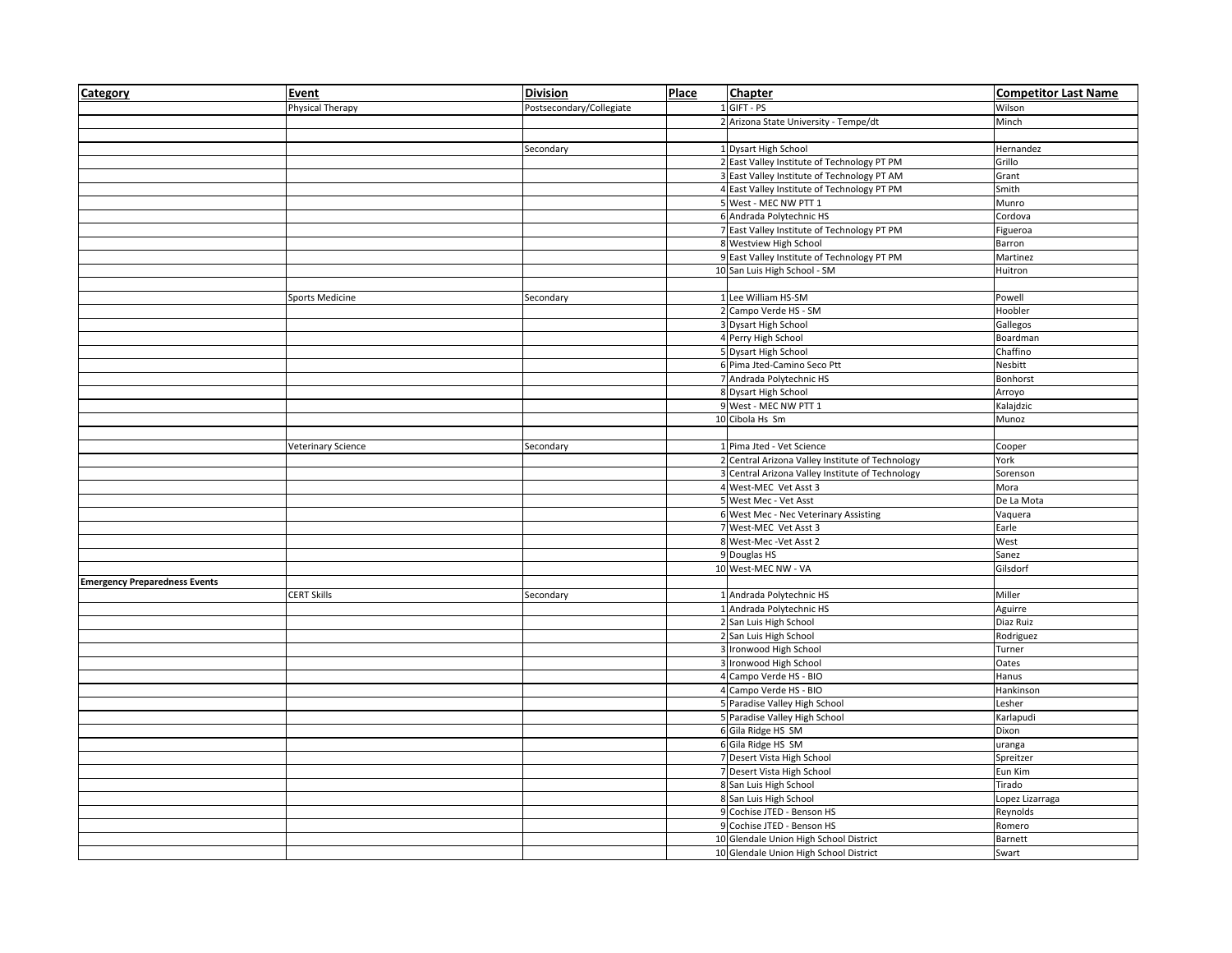| Category                             | Event                  | <b>Division</b>          | Place | <b>Chapter</b>                                   | <b>Competitor Last Name</b> |
|--------------------------------------|------------------------|--------------------------|-------|--------------------------------------------------|-----------------------------|
|                                      | Physical Therapy       | Postsecondary/Collegiate |       | 1 GIFT - PS                                      | Wilson                      |
|                                      |                        |                          |       | 2 Arizona State University - Tempe/dt            | Minch                       |
|                                      |                        |                          |       |                                                  |                             |
|                                      |                        | Secondary                |       | 1 Dysart High School                             | Hernandez                   |
|                                      |                        |                          |       | 2 East Valley Institute of Technology PT PM      | Grillo                      |
|                                      |                        |                          |       | 3 East Valley Institute of Technology PT AM      | Grant                       |
|                                      |                        |                          |       | 4 East Valley Institute of Technology PT PM      | Smith                       |
|                                      |                        |                          |       | 5 West - MEC NW PTT 1                            | Munro                       |
|                                      |                        |                          |       | 6 Andrada Polytechnic HS                         | Cordova                     |
|                                      |                        |                          |       | 7 East Valley Institute of Technology PT PM      | Figueroa                    |
|                                      |                        |                          |       | 8 Westview High School                           | Barron                      |
|                                      |                        |                          |       | 9 East Valley Institute of Technology PT PM      | Martinez                    |
|                                      |                        |                          |       | 10 San Luis High School - SM                     | Huitron                     |
|                                      |                        |                          |       |                                                  |                             |
|                                      | <b>Sports Medicine</b> | Secondary                |       | 1 Lee William HS-SM                              | Powell                      |
|                                      |                        |                          |       | 2 Campo Verde HS - SM                            | Hoobler                     |
|                                      |                        |                          |       | 3 Dysart High School                             | Gallegos                    |
|                                      |                        |                          |       | 4 Perry High School                              | Boardman                    |
|                                      |                        |                          |       | 5 Dysart High School                             | Chaffino                    |
|                                      |                        |                          |       | 6 Pima Jted-Camino Seco Ptt                      | Nesbitt                     |
|                                      |                        |                          |       | 7 Andrada Polytechnic HS                         | Bonhorst                    |
|                                      |                        |                          |       | 8 Dysart High School                             | Arroyo                      |
|                                      |                        |                          |       | 9 West - MEC NW PTT 1                            | Kalajdzic                   |
|                                      |                        |                          |       | 10 Cibola Hs Sm                                  | Munoz                       |
|                                      |                        |                          |       |                                                  |                             |
|                                      | Veterinary Science     | Secondary                |       | 1 Pima Jted - Vet Science                        | Cooper                      |
|                                      |                        |                          |       | 2 Central Arizona Valley Institute of Technology | York                        |
|                                      |                        |                          |       | 3 Central Arizona Valley Institute of Technology | Sorenson                    |
|                                      |                        |                          |       | 4 West-MEC Vet Asst 3                            | Mora                        |
|                                      |                        |                          |       | 5 West Mec - Vet Asst                            | De La Mota                  |
|                                      |                        |                          |       | 6 West Mec - Nec Veterinary Assisting            | Vaquera                     |
|                                      |                        |                          |       | 7 West-MEC Vet Asst 3                            | Earle                       |
|                                      |                        |                          |       | 8 West-Mec - Vet Asst 2                          | West                        |
|                                      |                        |                          |       | 9 Douglas HS                                     | Sanez                       |
|                                      |                        |                          |       | 10 West-MEC NW - VA                              | Gilsdorf                    |
| <b>Emergency Preparedness Events</b> |                        |                          |       |                                                  |                             |
|                                      | <b>CERT Skills</b>     | Secondary                |       | 1 Andrada Polytechnic HS                         | Miller                      |
|                                      |                        |                          |       | 1 Andrada Polytechnic HS                         | Aguirre                     |
|                                      |                        |                          |       | 2 San Luis High School                           | Diaz Ruiz                   |
|                                      |                        |                          |       | 2 San Luis High School                           | Rodriguez                   |
|                                      |                        |                          |       | 3 Ironwood High School                           | Turner                      |
|                                      |                        |                          |       | 3 Ironwood High School                           | Oates                       |
|                                      |                        |                          |       | 4 Campo Verde HS - BIO                           | Hanus                       |
|                                      |                        |                          |       | 4 Campo Verde HS - BIO                           | Hankinson                   |
|                                      |                        |                          |       | 5 Paradise Valley High School                    | Lesher                      |
|                                      |                        |                          |       | 5 Paradise Valley High School                    | Karlapudi                   |
|                                      |                        |                          |       | 6 Gila Ridge HS SM                               | Dixon                       |
|                                      |                        |                          |       | 6 Gila Ridge HS SM                               | uranga                      |
|                                      |                        |                          |       | 7 Desert Vista High School                       | Spreitzer                   |
|                                      |                        |                          |       | 7 Desert Vista High School                       | Eun Kim                     |
|                                      |                        |                          |       | 8 San Luis High School                           | Tirado                      |
|                                      |                        |                          |       | 8 San Luis High School                           | Lopez Lizarraga             |
|                                      |                        |                          |       | 9 Cochise JTED - Benson HS                       | Reynolds                    |
|                                      |                        |                          |       | 9 Cochise JTED - Benson HS                       | Romero                      |
|                                      |                        |                          |       | 10 Glendale Union High School District           | Barnett                     |
|                                      |                        |                          |       | 10 Glendale Union High School District           | Swart                       |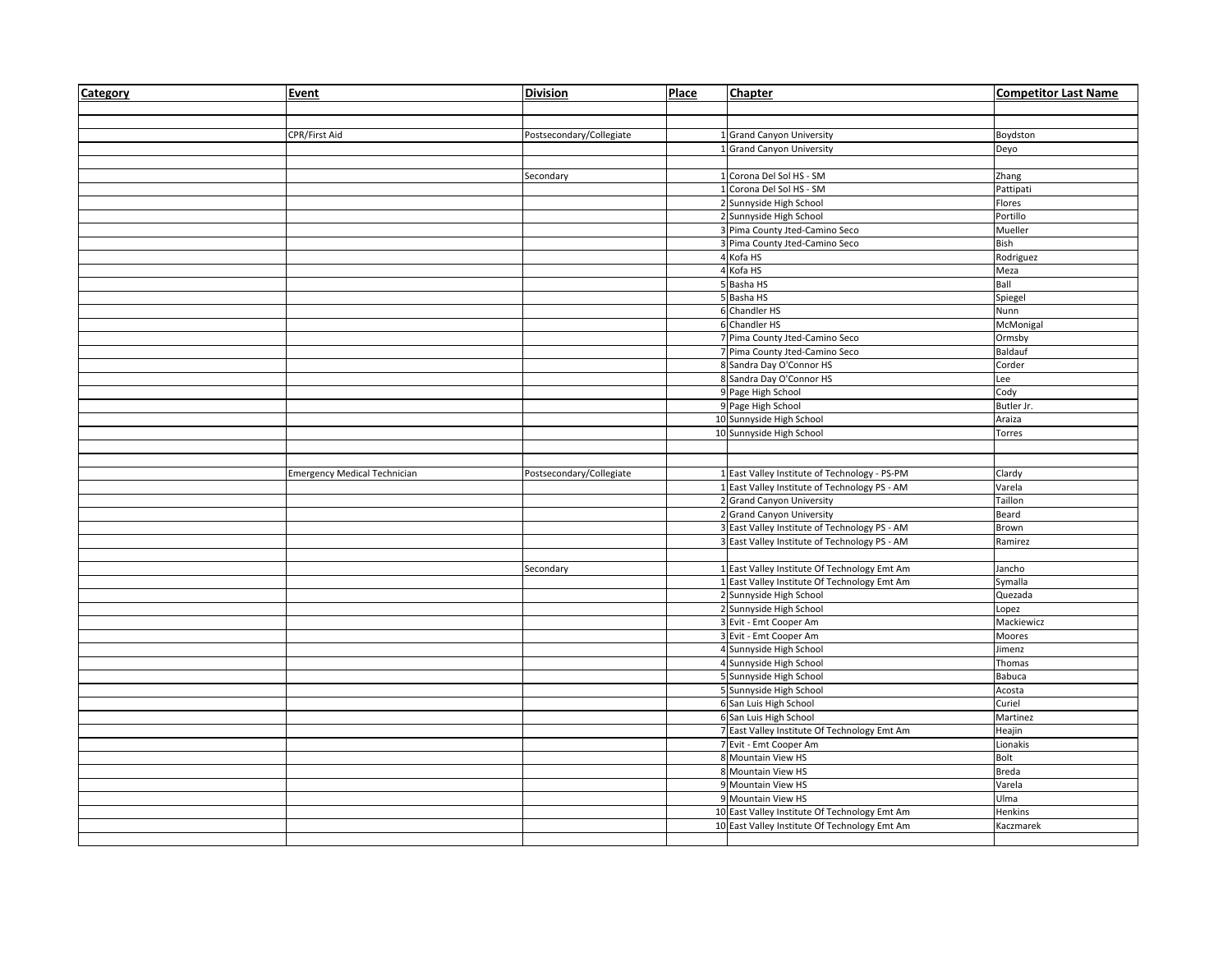| Category | Event                               | <b>Division</b>          | Place | <b>Chapter</b>                                                                                 | <b>Competitor Last Name</b> |
|----------|-------------------------------------|--------------------------|-------|------------------------------------------------------------------------------------------------|-----------------------------|
|          |                                     |                          |       |                                                                                                |                             |
|          |                                     |                          |       |                                                                                                |                             |
|          | CPR/First Aid                       | Postsecondary/Collegiate |       | 1 Grand Canyon University                                                                      | Boydston                    |
|          |                                     |                          |       | 1 Grand Canyon University                                                                      | Deyo                        |
|          |                                     |                          |       |                                                                                                |                             |
|          |                                     | Secondary                |       | 1 Corona Del Sol HS - SM                                                                       | Zhang                       |
|          |                                     |                          |       | 1 Corona Del Sol HS - SM                                                                       | Pattipati                   |
|          |                                     |                          |       | 2 Sunnyside High School                                                                        | Flores                      |
|          |                                     |                          |       | 2 Sunnyside High School                                                                        | Portillo                    |
|          |                                     |                          |       | 3 Pima County Jted-Camino Seco                                                                 | Mueller                     |
|          |                                     |                          |       | 3 Pima County Jted-Camino Seco                                                                 | Bish                        |
|          |                                     |                          |       | 4 Kofa HS                                                                                      | Rodriguez                   |
|          |                                     |                          |       | 4 Kofa HS                                                                                      | Meza                        |
|          |                                     |                          |       | 5 Basha HS                                                                                     | Ball                        |
|          |                                     |                          |       | 5 Basha HS                                                                                     | Spiegel                     |
|          |                                     |                          |       | 6 Chandler HS                                                                                  | Nunn                        |
|          |                                     |                          |       | 6 Chandler HS                                                                                  | McMonigal                   |
|          |                                     |                          |       | 7 Pima County Jted-Camino Seco                                                                 | Ormsby                      |
|          |                                     |                          |       | 7 Pima County Jted-Camino Seco                                                                 | Baldauf                     |
|          |                                     |                          |       | 8 Sandra Day O'Connor HS                                                                       | Corder                      |
|          |                                     |                          |       | 8 Sandra Day O'Connor HS                                                                       | Lee                         |
|          |                                     |                          |       | 9 Page High School                                                                             | Cody                        |
|          |                                     |                          |       | 9 Page High School                                                                             | Butler Jr.                  |
|          |                                     |                          |       | 10 Sunnyside High School                                                                       | Araiza                      |
|          |                                     |                          |       | 10 Sunnyside High School                                                                       | Torres                      |
|          |                                     |                          |       |                                                                                                |                             |
|          |                                     |                          |       |                                                                                                |                             |
|          | <b>Emergency Medical Technician</b> | Postsecondary/Collegiate |       | 1 East Valley Institute of Technology - PS-PM                                                  | Clardy                      |
|          |                                     |                          |       | 1 East Valley Institute of Technology PS - AM                                                  | Varela                      |
|          |                                     |                          |       | 2 Grand Canyon University                                                                      | Taillon                     |
|          |                                     |                          |       | 2 Grand Canyon University                                                                      | Beard                       |
|          |                                     |                          |       | 3 East Valley Institute of Technology PS - AM                                                  | Brown                       |
|          |                                     |                          |       | 3 East Valley Institute of Technology PS - AM                                                  | Ramirez                     |
|          |                                     |                          |       |                                                                                                |                             |
|          |                                     | Secondary                |       | 1 East Valley Institute Of Technology Emt Am                                                   | Jancho                      |
|          |                                     |                          |       | 1 East Valley Institute Of Technology Emt Am                                                   | Symalla                     |
|          |                                     |                          |       | 2 Sunnyside High School                                                                        | Quezada                     |
|          |                                     |                          |       | 2 Sunnyside High School                                                                        | Lopez                       |
|          |                                     |                          |       | 3 Evit - Emt Cooper Am                                                                         | Mackiewicz                  |
|          |                                     |                          |       | 3 Evit - Emt Cooper Am                                                                         | Moores                      |
|          |                                     |                          |       |                                                                                                | Jimenz                      |
|          |                                     |                          |       | 4 Sunnyside High School<br>4 Sunnyside High School                                             | Thomas                      |
|          |                                     |                          |       |                                                                                                | Babuca                      |
|          |                                     |                          |       | 5 Sunnyside High School<br>5 Sunnyside High School                                             |                             |
|          |                                     |                          |       | 6 San Luis High School                                                                         | Acosta<br>Curiel            |
|          |                                     |                          |       | 6 San Luis High School                                                                         | Martinez                    |
|          |                                     |                          |       |                                                                                                |                             |
|          |                                     |                          |       | 7 East Valley Institute Of Technology Emt Am                                                   | Heajin                      |
|          |                                     |                          |       | 7 Evit - Emt Cooper Am                                                                         | Lionakis<br><b>Bolt</b>     |
|          |                                     |                          |       |                                                                                                |                             |
|          |                                     |                          |       | 8 Mountain View HS                                                                             |                             |
|          |                                     |                          |       | 8 Mountain View HS                                                                             | <b>Breda</b>                |
|          |                                     |                          |       | 9 Mountain View HS                                                                             | Varela                      |
|          |                                     |                          |       | 9 Mountain View HS                                                                             | Ulma                        |
|          |                                     |                          |       | 10 East Valley Institute Of Technology Emt Am<br>10 East Valley Institute Of Technology Emt Am | Henkins<br>Kaczmarek        |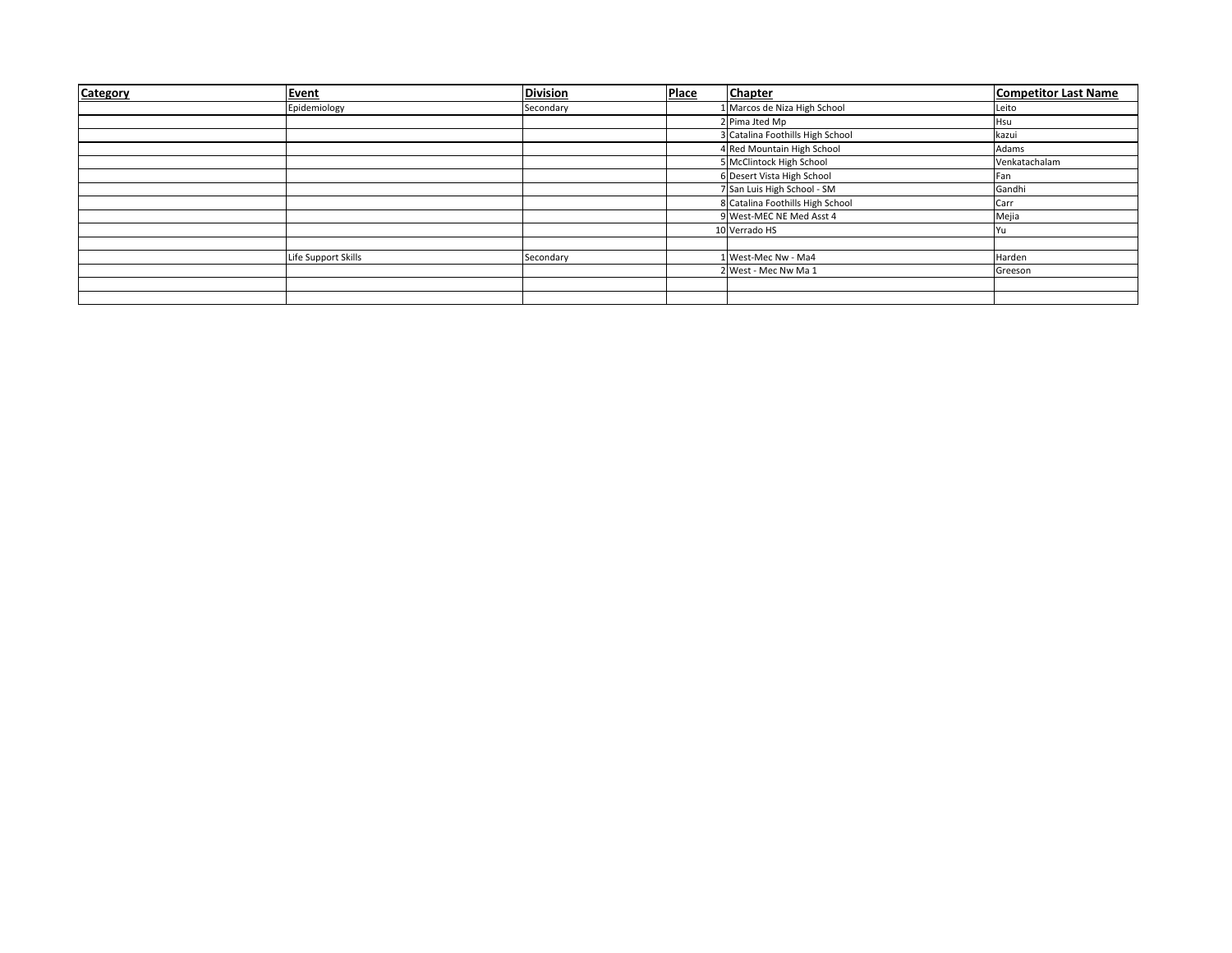| Category | <b>Event</b>        | <b>Division</b> | Place | <b>Chapter</b>                   | <b>Competitor Last Name</b> |
|----------|---------------------|-----------------|-------|----------------------------------|-----------------------------|
|          | Epidemiology        | Secondary       |       | 1 Marcos de Niza High School     | Leito                       |
|          |                     |                 |       | 2 Pima Jted Mp                   | Hsu                         |
|          |                     |                 |       | 3 Catalina Foothills High School | kazui                       |
|          |                     |                 |       | 4 Red Mountain High School       | Adams                       |
|          |                     |                 |       | 5 McClintock High School         | Venkatachalam               |
|          |                     |                 |       | 6 Desert Vista High School       | Fan                         |
|          |                     |                 |       | 7 San Luis High School - SM      | Gandhi                      |
|          |                     |                 |       | 8 Catalina Foothills High School | Carr                        |
|          |                     |                 |       | 9 West-MEC NE Med Asst 4         | Mejia                       |
|          |                     |                 |       | 10 Verrado HS                    | Yu                          |
|          |                     |                 |       |                                  |                             |
|          | Life Support Skills | Secondary       |       | 1 West-Mec Nw - Ma4              | Harden                      |
|          |                     |                 |       | 2 West - Mec Nw Ma 1             | Greeson                     |
|          |                     |                 |       |                                  |                             |
|          |                     |                 |       |                                  |                             |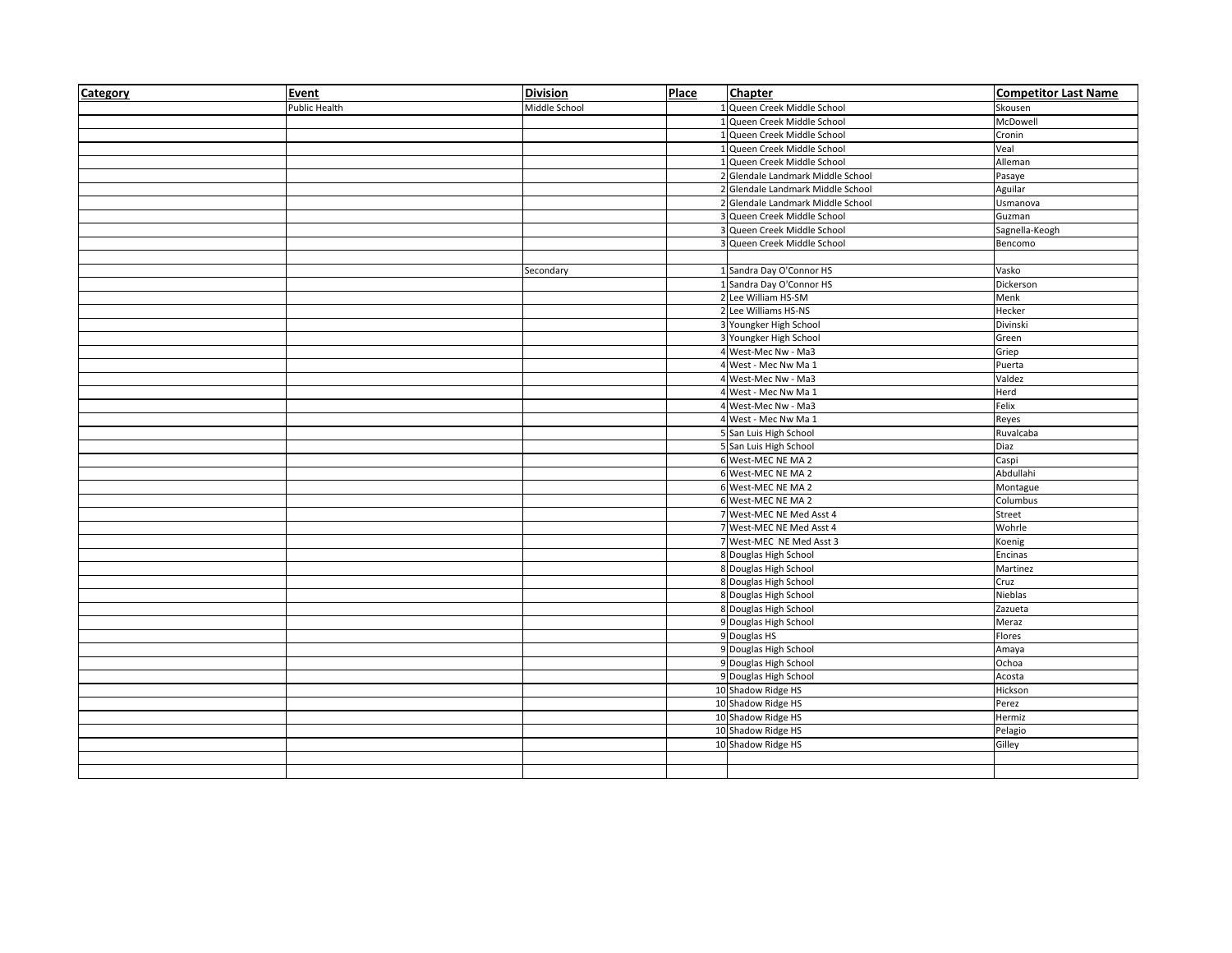| Category | <b>Event</b>  | <b>Division</b> | Place | <b>Chapter</b>                    | <b>Competitor Last Name</b> |
|----------|---------------|-----------------|-------|-----------------------------------|-----------------------------|
|          | Public Health | Middle School   |       | 1 Queen Creek Middle School       | Skousen                     |
|          |               |                 |       | 1 Queen Creek Middle School       | McDowell                    |
|          |               |                 |       | 1 Queen Creek Middle School       | Cronin                      |
|          |               |                 |       | 1 Queen Creek Middle School       | Veal                        |
|          |               |                 |       | 1 Queen Creek Middle School       | Alleman                     |
|          |               |                 |       | 2 Glendale Landmark Middle School | Pasaye                      |
|          |               |                 |       | 2 Glendale Landmark Middle School | Aguilar                     |
|          |               |                 |       | 2 Glendale Landmark Middle School | Usmanova                    |
|          |               |                 |       | 3 Queen Creek Middle School       | Guzman                      |
|          |               |                 |       | 3 Queen Creek Middle School       | Sagnella-Keogh              |
|          |               |                 |       | 3 Queen Creek Middle School       | Bencomo                     |
|          |               |                 |       |                                   |                             |
|          |               | Secondary       |       | 1 Sandra Day O'Connor HS          | Vasko                       |
|          |               |                 |       | 1 Sandra Day O'Connor HS          | Dickerson                   |
|          |               |                 |       | 2 Lee William HS-SM               | Menk                        |
|          |               |                 |       | 2 Lee Williams HS-NS              | Hecker                      |
|          |               |                 |       | 3 Youngker High School            | Divinski                    |
|          |               |                 |       | 3 Youngker High School            | Green                       |
|          |               |                 |       | 4 West-Mec Nw - Ma3               | Griep                       |
|          |               |                 |       | 4 West - Mec Nw Ma 1              | Puerta                      |
|          |               |                 |       | 4 West-Mec Nw - Ma3               | Valdez                      |
|          |               |                 |       | 4 West - Mec Nw Ma 1              | Herd                        |
|          |               |                 |       | 4 West-Mec Nw - Ma3               | Felix                       |
|          |               |                 |       | 4 West - Mec Nw Ma 1              | Reyes                       |
|          |               |                 |       | 5 San Luis High School            | Ruvalcaba                   |
|          |               |                 |       | 5 San Luis High School            | Diaz                        |
|          |               |                 |       | 6 West-MEC NE MA 2                | Caspi                       |
|          |               |                 |       | 6 West-MEC NE MA 2                | Abdullahi                   |
|          |               |                 |       | 6 West-MEC NE MA 2                | Montague                    |
|          |               |                 |       | 6 West-MEC NE MA 2                | Columbus                    |
|          |               |                 |       | 7 West-MEC NE Med Asst 4          | Street                      |
|          |               |                 |       | 7 West-MEC NE Med Asst 4          | Wohrle                      |
|          |               |                 |       | 7 West-MEC NE Med Asst 3          | Koenig                      |
|          |               |                 |       | 8 Douglas High School             | Encinas                     |
|          |               |                 |       | 8 Douglas High School             | Martinez                    |
|          |               |                 |       | 8 Douglas High School             | Cruz                        |
|          |               |                 |       | 8 Douglas High School             | Nieblas                     |
|          |               |                 |       | 8 Douglas High School             | Zazueta                     |
|          |               |                 |       | 9 Douglas High School             | Meraz                       |
|          |               |                 |       | 9 Douglas HS                      | Flores                      |
|          |               |                 |       | 9 Douglas High School             | Amaya                       |
|          |               |                 |       | 9 Douglas High School             | Ochoa                       |
|          |               |                 |       | 9 Douglas High School             | Acosta                      |
|          |               |                 |       | 10 Shadow Ridge HS                | Hickson                     |
|          |               |                 |       | 10 Shadow Ridge HS                | Perez                       |
|          |               |                 |       | 10 Shadow Ridge HS                | Hermiz                      |
|          |               |                 |       | 10 Shadow Ridge HS                | Pelagio                     |
|          |               |                 |       | 10 Shadow Ridge HS                | Gilley                      |
|          |               |                 |       |                                   |                             |
|          |               |                 |       |                                   |                             |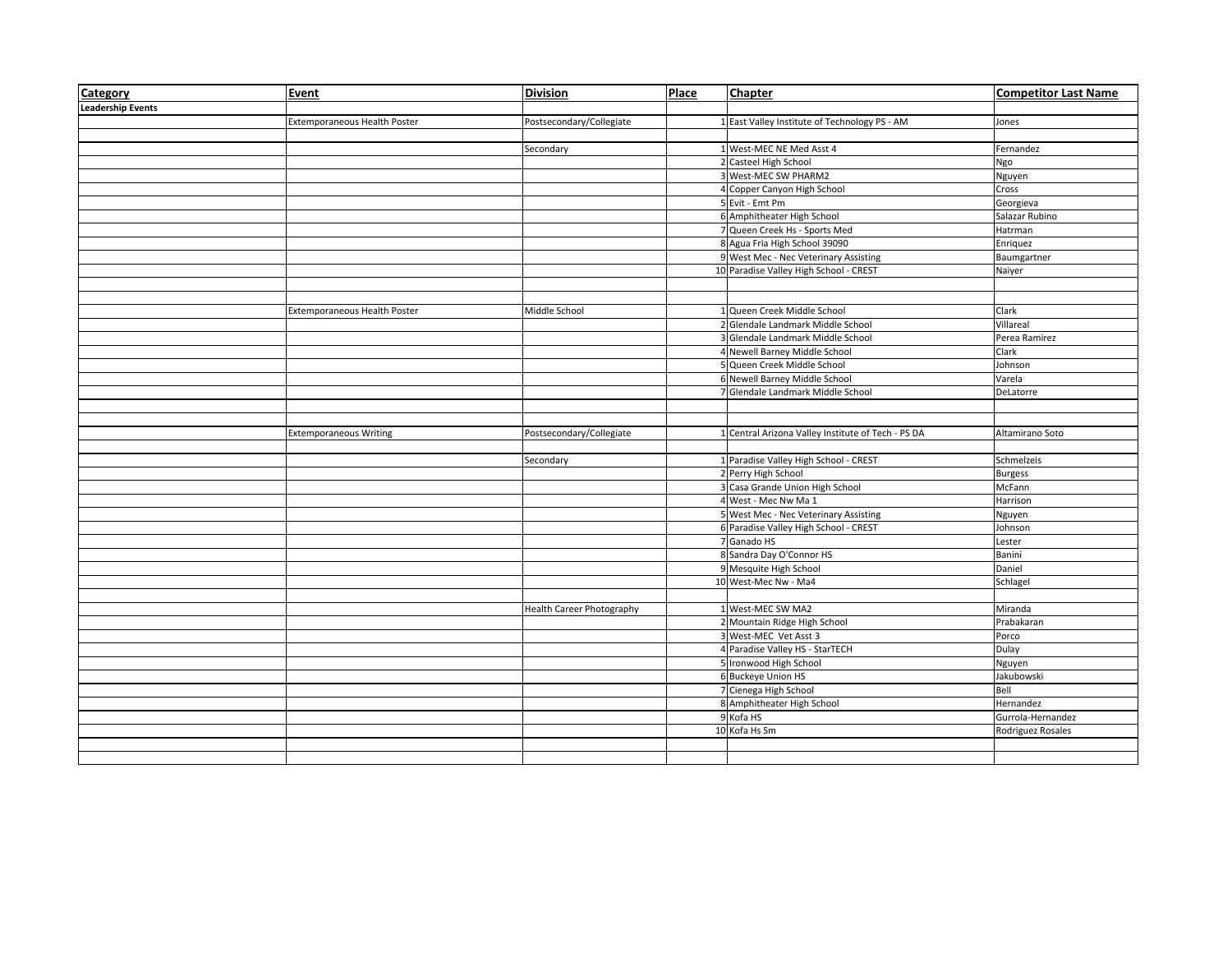| Category                 | <b>Event</b>                  | <b>Division</b>           | Place | <b>Chapter</b>                                     | <b>Competitor Last Name</b> |
|--------------------------|-------------------------------|---------------------------|-------|----------------------------------------------------|-----------------------------|
| <b>Leadership Events</b> |                               |                           |       |                                                    |                             |
|                          | Extemporaneous Health Poster  | Postsecondary/Collegiate  |       | 1 East Valley Institute of Technology PS - AM      | Jones                       |
|                          |                               |                           |       |                                                    |                             |
|                          |                               | Secondary                 |       | 1 West-MEC NE Med Asst 4                           | Fernandez                   |
|                          |                               |                           |       | 2 Casteel High School                              | Ngo                         |
|                          |                               |                           |       | 3 West-MEC SW PHARM2                               | Nguyen                      |
|                          |                               |                           |       | 4 Copper Canyon High School                        | Cross                       |
|                          |                               |                           |       | 5 Evit - Emt Pm                                    | Georgieva                   |
|                          |                               |                           |       | 6 Amphitheater High School                         | Salazar Rubino              |
|                          |                               |                           |       | 7 Queen Creek Hs - Sports Med                      | Hatrman                     |
|                          |                               |                           |       | 8 Agua Fria High School 39090                      | Enriquez                    |
|                          |                               |                           |       | 9 West Mec - Nec Veterinary Assisting              | Baumgartner                 |
|                          |                               |                           |       | 10 Paradise Valley High School - CREST             | Naiyer                      |
|                          |                               |                           |       |                                                    |                             |
|                          |                               |                           |       |                                                    |                             |
|                          | Extemporaneous Health Poster  | Middle School             |       | 1 Queen Creek Middle School                        | Clark                       |
|                          |                               |                           |       | 2 Glendale Landmark Middle School                  | Villareal                   |
|                          |                               |                           |       | 3 Glendale Landmark Middle School                  | Perea Ramirez               |
|                          |                               |                           |       | 4 Newell Barney Middle School                      | Clark                       |
|                          |                               |                           |       | 5 Queen Creek Middle School                        | Johnson                     |
|                          |                               |                           |       | 6 Newell Barney Middle School                      | Varela                      |
|                          |                               |                           |       | 7 Glendale Landmark Middle School                  | DeLatorre                   |
|                          |                               |                           |       |                                                    |                             |
|                          |                               |                           |       |                                                    |                             |
|                          | <b>Extemporaneous Writing</b> | Postsecondary/Collegiate  |       | 1 Central Arizona Valley Institute of Tech - PS DA | Altamirano Soto             |
|                          |                               |                           |       |                                                    |                             |
|                          |                               | Secondary                 |       | 1 Paradise Valley High School - CREST              | Schmelzeis                  |
|                          |                               |                           |       | 2 Perry High School                                | <b>Burgess</b>              |
|                          |                               |                           |       | 3 Casa Grande Union High School                    | McFann                      |
|                          |                               |                           |       | 4 West - Mec Nw Ma 1                               | Harrison                    |
|                          |                               |                           |       | 5 West Mec - Nec Veterinary Assisting              | Nguyen                      |
|                          |                               |                           |       | 6 Paradise Valley High School - CREST              | Johnson                     |
|                          |                               |                           |       | 7 Ganado HS                                        | Lester                      |
|                          |                               |                           |       | 8 Sandra Day O'Connor HS                           | Banini                      |
|                          |                               |                           |       | 9 Mesquite High School                             | Daniel                      |
|                          |                               |                           |       | 10 West-Mec Nw - Ma4                               | Schlagel                    |
|                          |                               |                           |       |                                                    |                             |
|                          |                               | Health Career Photography |       | 1 West-MEC SW MA2                                  | Miranda                     |
|                          |                               |                           |       | 2 Mountain Ridge High School                       | Prabakaran                  |
|                          |                               |                           |       | 3 West-MEC Vet Asst 3                              | Porco                       |
|                          |                               |                           |       | 4 Paradise Valley HS - StarTECH                    | Dulay                       |
|                          |                               |                           |       | 5 Ironwood High School                             | Nguyen                      |
|                          |                               |                           |       | 6 Buckeye Union HS                                 | Jakubowski                  |
|                          |                               |                           |       | 7 Cienega High School                              | Bell                        |
|                          |                               |                           |       | 8 Amphitheater High School                         | Hernandez                   |
|                          |                               |                           |       | 9 Kofa HS                                          | Gurrola-Hernandez           |
|                          |                               |                           |       | 10 Kofa Hs Sm                                      | Rodriguez Rosales           |
|                          |                               |                           |       |                                                    |                             |
|                          |                               |                           |       |                                                    |                             |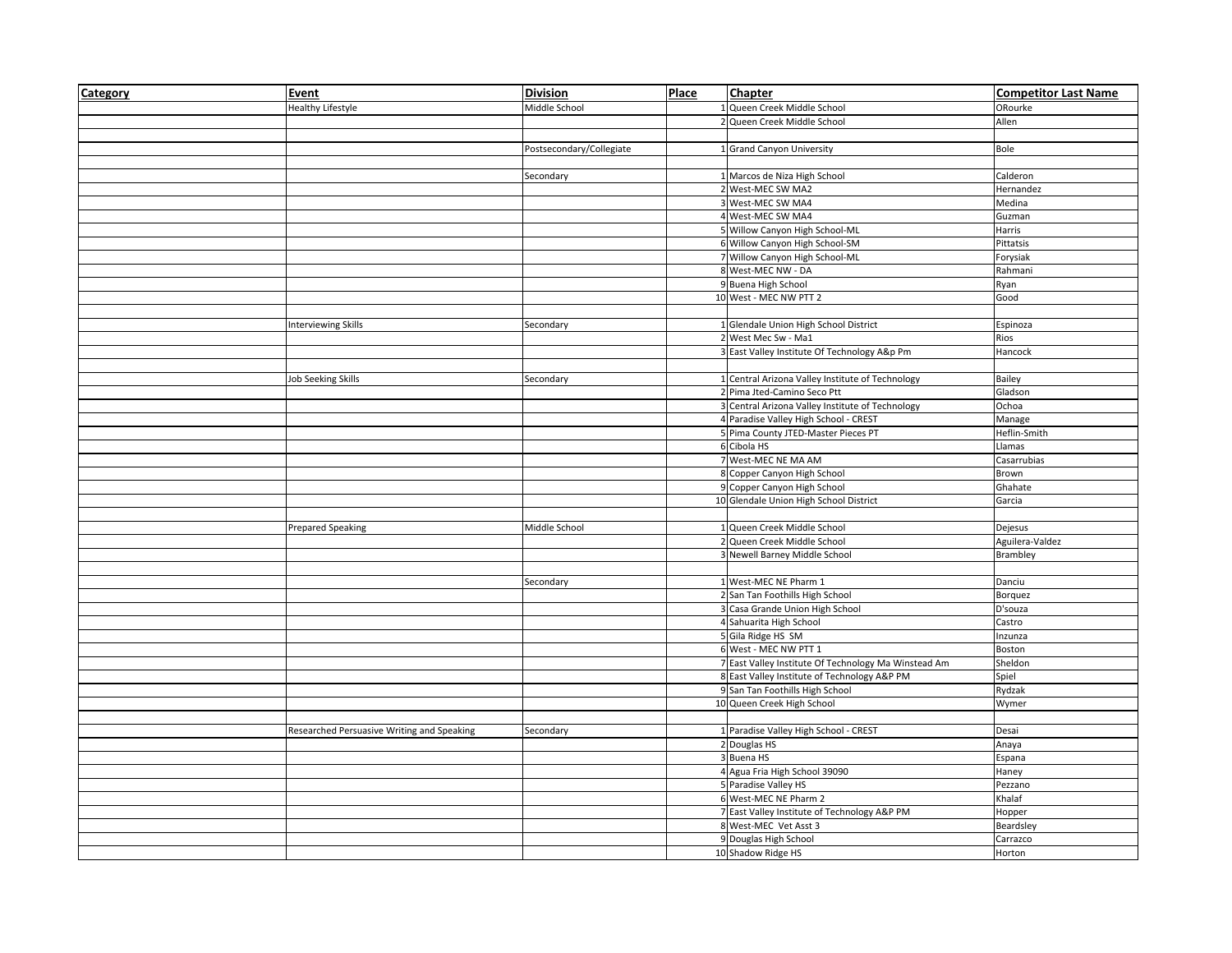| Category | Event                                      | <b>Division</b>          | Place | <b>Chapter</b>                                       | <b>Competitor Last Name</b> |
|----------|--------------------------------------------|--------------------------|-------|------------------------------------------------------|-----------------------------|
|          | <b>Healthy Lifestyle</b>                   | Middle School            |       | Queen Creek Middle School                            | ORourke                     |
|          |                                            |                          |       | Queen Creek Middle School                            | Allen                       |
|          |                                            |                          |       |                                                      |                             |
|          |                                            | Postsecondary/Collegiate |       | 1 Grand Canyon University                            | Bole                        |
|          |                                            |                          |       |                                                      |                             |
|          |                                            | Secondary                |       | 1 Marcos de Niza High School                         | Calderon                    |
|          |                                            |                          |       | 2 West-MEC SW MA2                                    | Hernandez                   |
|          |                                            |                          |       | 3 West-MEC SW MA4                                    | Medina                      |
|          |                                            |                          |       | 4 West-MEC SW MA4                                    | Guzman                      |
|          |                                            |                          |       | 5 Willow Canyon High School-ML                       | Harris                      |
|          |                                            |                          |       | 6 Willow Canyon High School-SM                       | Pittatsis                   |
|          |                                            |                          |       | 7 Willow Canyon High School-ML                       | Forysiak                    |
|          |                                            |                          |       | 8 West-MEC NW - DA                                   | Rahmani                     |
|          |                                            |                          |       | 9 Buena High School                                  | Ryan                        |
|          |                                            |                          |       | 10 West - MEC NW PTT 2                               | Good                        |
|          |                                            |                          |       |                                                      |                             |
|          | <b>Interviewing Skills</b>                 | Secondary                |       | 1 Glendale Union High School District                | Espinoza                    |
|          |                                            |                          |       | 2 West Mec Sw - Ma1                                  | Rios                        |
|          |                                            |                          |       | 3 East Valley Institute Of Technology A&p Pm         | Hancock                     |
|          |                                            |                          |       |                                                      |                             |
|          | <b>Job Seeking Skills</b>                  | Secondary                |       | 1 Central Arizona Valley Institute of Technology     | Bailey                      |
|          |                                            |                          |       | 2 Pima Jted-Camino Seco Ptt                          | Gladson                     |
|          |                                            |                          |       | 3 Central Arizona Valley Institute of Technology     | Ochoa                       |
|          |                                            |                          |       | 4 Paradise Valley High School - CREST                | Manage                      |
|          |                                            |                          |       | 5 Pima County JTED-Master Pieces PT                  |                             |
|          |                                            |                          |       | 6 Cibola HS                                          | Heflin-Smith<br>Llamas      |
|          |                                            |                          |       | 7 West-MEC NE MA AM                                  |                             |
|          |                                            |                          |       |                                                      | Casarrubias                 |
|          |                                            |                          |       | 8 Copper Canyon High School                          | Brown                       |
|          |                                            |                          |       | 9 Copper Canyon High School                          | Ghahate                     |
|          |                                            |                          |       | 10 Glendale Union High School District               | Garcia                      |
|          |                                            |                          |       |                                                      |                             |
|          | <b>Prepared Speaking</b>                   | Middle School            |       | 1 Queen Creek Middle School                          | Dejesus                     |
|          |                                            |                          |       | 2 Queen Creek Middle School                          | Aguilera-Valdez             |
|          |                                            |                          |       | 3 Newell Barney Middle School                        | Brambley                    |
|          |                                            |                          |       |                                                      |                             |
|          |                                            | Secondary                |       | 1 West-MEC NE Pharm 1                                | Danciu                      |
|          |                                            |                          |       | 2 San Tan Foothills High School                      | <b>Borquez</b>              |
|          |                                            |                          |       | 3 Casa Grande Union High School                      | D'souza                     |
|          |                                            |                          |       | 4 Sahuarita High School                              | Castro                      |
|          |                                            |                          |       | 5 Gila Ridge HS SM                                   | Inzunza                     |
|          |                                            |                          |       | 6 West - MEC NW PTT 1                                | Boston                      |
|          |                                            |                          |       | 7 East Valley Institute Of Technology Ma Winstead Am | Sheldon                     |
|          |                                            |                          |       | 8 East Valley Institute of Technology A&P PM         | Spiel                       |
|          |                                            |                          |       | 9 San Tan Foothills High School                      | Rydzak                      |
|          |                                            |                          |       | 10 Queen Creek High School                           | Wymer                       |
|          |                                            |                          |       |                                                      |                             |
|          | Researched Persuasive Writing and Speaking | Secondary                |       | 1 Paradise Valley High School - CREST                | Desai                       |
|          |                                            |                          |       | 2 Douglas HS                                         | Anaya                       |
|          |                                            |                          |       | 3 Buena HS                                           | Espana                      |
|          |                                            |                          |       | 4 Agua Fria High School 39090                        | Haney                       |
|          |                                            |                          |       | 5 Paradise Valley HS                                 | Pezzano                     |
|          |                                            |                          |       | 6 West-MEC NE Pharm 2                                | Khalaf                      |
|          |                                            |                          |       | 7 East Valley Institute of Technology A&P PM         | Hopper                      |
|          |                                            |                          |       | 8 West-MEC Vet Asst 3                                | Beardsley                   |
|          |                                            |                          |       | 9 Douglas High School                                | Carrazco                    |
|          |                                            |                          |       | 10 Shadow Ridge HS                                   | Horton                      |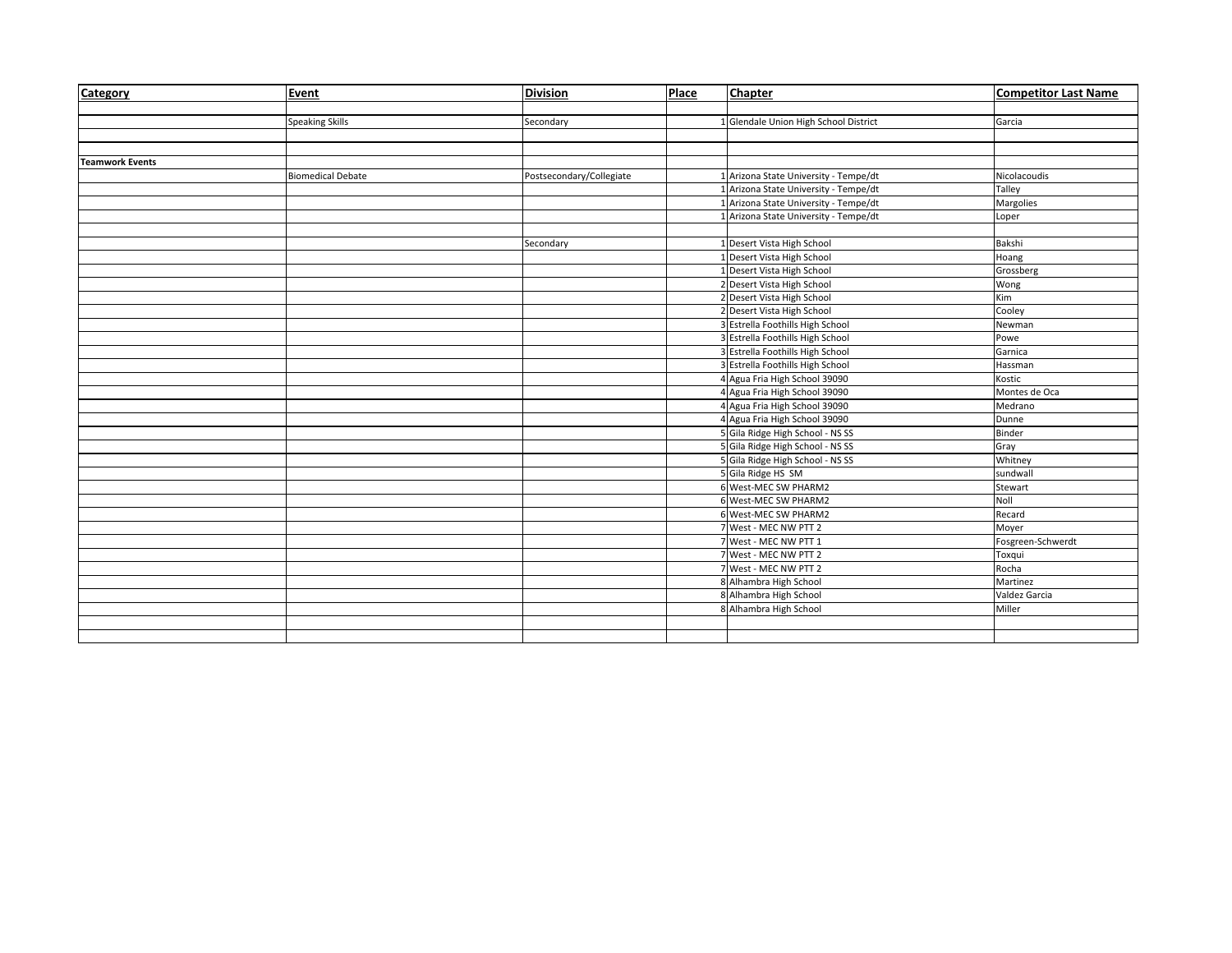| Category               | Event                    | <b>Division</b>          | Place | <b>Chapter</b>                        | <b>Competitor Last Name</b> |
|------------------------|--------------------------|--------------------------|-------|---------------------------------------|-----------------------------|
|                        |                          |                          |       |                                       |                             |
|                        | <b>Speaking Skills</b>   | Secondary                |       | Glendale Union High School District   | Garcia                      |
|                        |                          |                          |       |                                       |                             |
|                        |                          |                          |       |                                       |                             |
| <b>Teamwork Events</b> |                          |                          |       |                                       |                             |
|                        | <b>Biomedical Debate</b> | Postsecondary/Collegiate |       | Arizona State University - Tempe/dt   | Nicolacoudis                |
|                        |                          |                          |       | Arizona State University - Tempe/dt   | Talley                      |
|                        |                          |                          |       | Arizona State University - Tempe/dt   | Margolies                   |
|                        |                          |                          |       | Arizona State University - Tempe/dt   | Loper                       |
|                        |                          |                          |       |                                       |                             |
|                        |                          | Secondary                |       | Desert Vista High School              | Bakshi                      |
|                        |                          |                          |       | Desert Vista High School              | Hoang                       |
|                        |                          |                          |       | Desert Vista High School              | Grossberg                   |
|                        |                          |                          |       | 2 Desert Vista High School            | Wong                        |
|                        |                          |                          |       | 2 Desert Vista High School            | Kim                         |
|                        |                          |                          |       | 2 Desert Vista High School            | Cooley                      |
|                        |                          |                          |       | <b>Estrella Foothills High School</b> | Newman                      |
|                        |                          |                          |       | <b>Estrella Foothills High School</b> | Powe                        |
|                        |                          |                          |       | 3 Estrella Foothills High School      | Garnica                     |
|                        |                          |                          |       | 3 Estrella Foothills High School      | Hassman                     |
|                        |                          |                          |       | 4 Agua Fria High School 39090         | Kostic                      |
|                        |                          |                          |       | 4 Agua Fria High School 39090         | Montes de Oca               |
|                        |                          |                          |       | 4 Agua Fria High School 39090         | Medrano                     |
|                        |                          |                          |       | 4 Agua Fria High School 39090         | Dunne                       |
|                        |                          |                          |       | 5 Gila Ridge High School - NS SS      | <b>Binder</b>               |
|                        |                          |                          |       | 5 Gila Ridge High School - NS SS      | Gray                        |
|                        |                          |                          |       | 5 Gila Ridge High School - NS SS      | Whitney                     |
|                        |                          |                          |       | 5 Gila Ridge HS SM                    | sundwall                    |
|                        |                          |                          |       | 6 West-MEC SW PHARM2                  | Stewart                     |
|                        |                          |                          |       | 6 West-MEC SW PHARM2                  | Noll                        |
|                        |                          |                          |       | 6 West-MEC SW PHARM2                  | Recard                      |
|                        |                          |                          |       | West - MEC NW PTT 2                   | Moyer                       |
|                        |                          |                          |       | West - MEC NW PTT 1                   | Fosgreen-Schwerdt           |
|                        |                          |                          |       | 7 West - MEC NW PTT 2                 | Toxqui                      |
|                        |                          |                          |       | 7 West - MEC NW PTT 2                 | Rocha                       |
|                        |                          |                          |       | 8 Alhambra High School                | Martinez                    |
|                        |                          |                          |       | 8 Alhambra High School                | Valdez Garcia               |
|                        |                          |                          |       | 8 Alhambra High School                | Miller                      |
|                        |                          |                          |       |                                       |                             |
|                        |                          |                          |       |                                       |                             |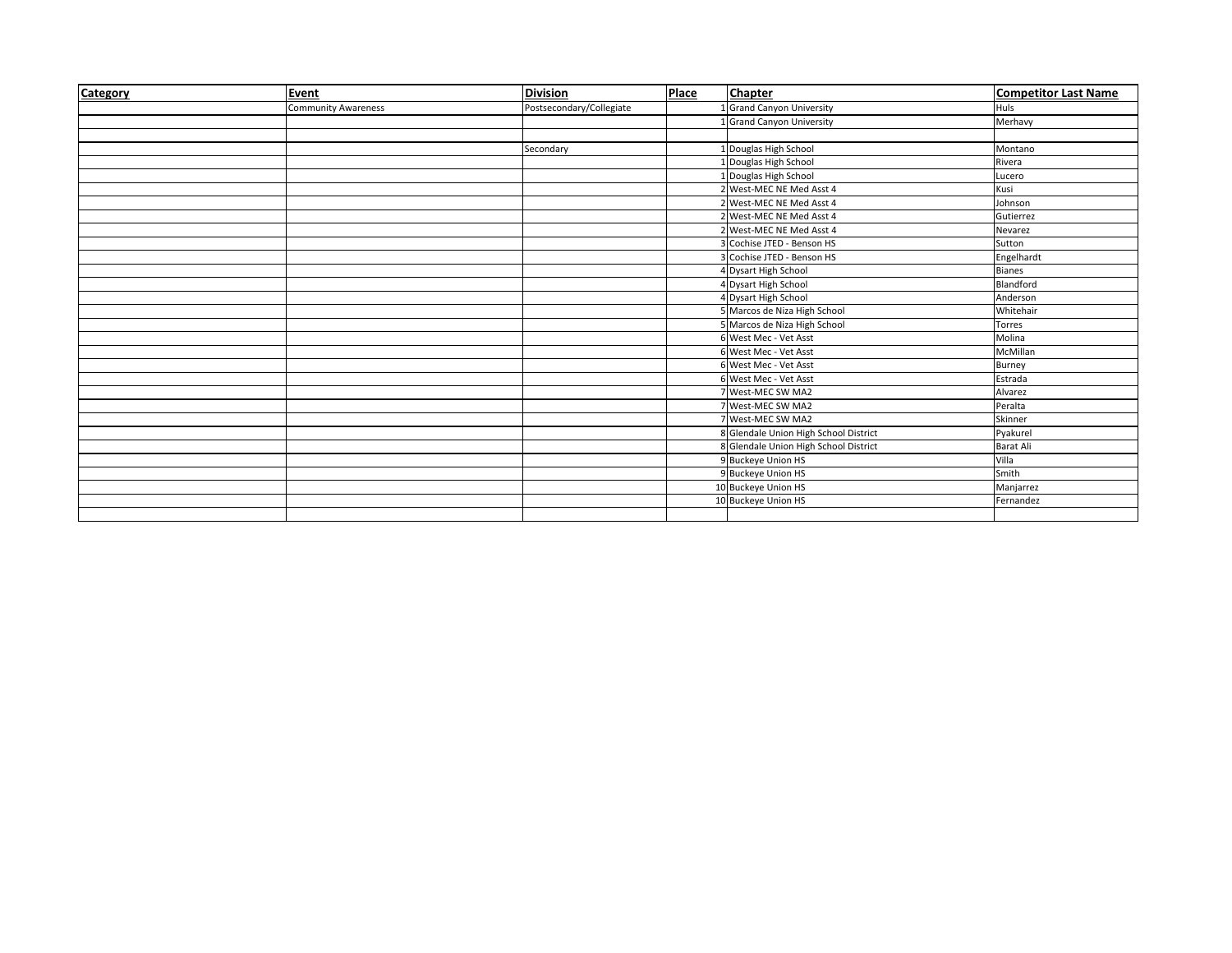| Category | Event                      | <b>Division</b>          | Place | <b>Chapter</b>                        | <b>Competitor Last Name</b> |
|----------|----------------------------|--------------------------|-------|---------------------------------------|-----------------------------|
|          | <b>Community Awareness</b> | Postsecondary/Collegiate |       | <b>Grand Canyon University</b>        | Huls                        |
|          |                            |                          |       | <b>Grand Canyon University</b>        | Merhavy                     |
|          |                            |                          |       |                                       |                             |
|          |                            | Secondary                |       | 1 Douglas High School                 | Montano                     |
|          |                            |                          |       | Douglas High School                   | Rivera                      |
|          |                            |                          |       | 1 Douglas High School                 | Lucero                      |
|          |                            |                          |       | 2 West-MEC NE Med Asst 4              | Kusi                        |
|          |                            |                          |       | West-MEC NE Med Asst 4                | Johnson                     |
|          |                            |                          |       | 2 West-MEC NE Med Asst 4              | Gutierrez                   |
|          |                            |                          |       | 2 West-MEC NE Med Asst 4              | Nevarez                     |
|          |                            |                          |       | Cochise JTED - Benson HS              | Sutton                      |
|          |                            |                          |       | Cochise JTED - Benson HS              | Engelhardt                  |
|          |                            |                          |       | 4 Dysart High School                  | <b>Bianes</b>               |
|          |                            |                          |       | 4 Dysart High School                  | Blandford                   |
|          |                            |                          |       | 4 Dysart High School                  | Anderson                    |
|          |                            |                          |       | 5 Marcos de Niza High School          | Whitehair                   |
|          |                            |                          |       | Marcos de Niza High School            | Torres                      |
|          |                            |                          |       | 6 West Mec - Vet Asst                 | Molina                      |
|          |                            |                          |       | 6 West Mec - Vet Asst                 | McMillan                    |
|          |                            |                          |       | 6 West Mec - Vet Asst                 | Burney                      |
|          |                            |                          |       | 6 West Mec - Vet Asst                 | Estrada                     |
|          |                            |                          |       | 7 West-MEC SW MA2                     | Alvarez                     |
|          |                            |                          |       | <b>West-MEC SW MA2</b>                | Peralta                     |
|          |                            |                          |       | West-MEC SW MA2                       | Skinner                     |
|          |                            |                          |       | 8 Glendale Union High School District | Pyakurel                    |
|          |                            |                          |       | 8 Glendale Union High School District | <b>Barat Ali</b>            |
|          |                            |                          |       | 9 Buckeye Union HS                    | Villa                       |
|          |                            |                          |       | 9 Buckeye Union HS                    | Smith                       |
|          |                            |                          |       | 10 Buckeye Union HS                   | Manjarrez                   |
|          |                            |                          |       | 10 Buckeye Union HS                   | Fernandez                   |
|          |                            |                          |       |                                       |                             |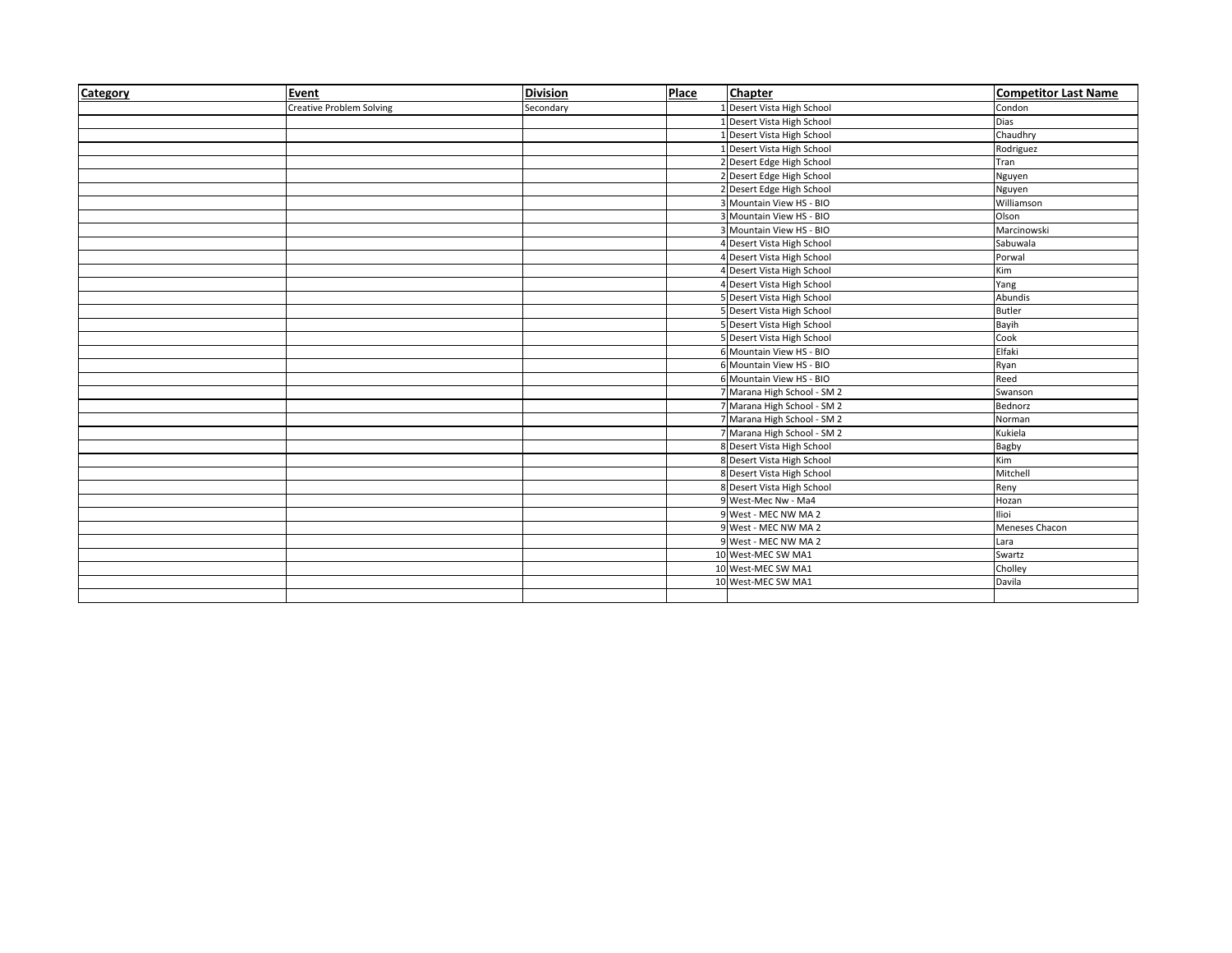| Category | Event                           | <b>Division</b> | Place | <b>Chapter</b>             | <b>Competitor Last Name</b> |
|----------|---------------------------------|-----------------|-------|----------------------------|-----------------------------|
|          | <b>Creative Problem Solving</b> | Secondary       |       | Desert Vista High School   | Condon                      |
|          |                                 |                 |       | Desert Vista High School   | Dias                        |
|          |                                 |                 |       | Desert Vista High School   | Chaudhry                    |
|          |                                 |                 |       | Desert Vista High School   | Rodriguez                   |
|          |                                 |                 |       | Desert Edge High School    | Tran                        |
|          |                                 |                 |       | 2 Desert Edge High School  | Nguyen                      |
|          |                                 |                 |       | 2 Desert Edge High School  | Nguyen                      |
|          |                                 |                 |       | Mountain View HS - BIO     | Williamson                  |
|          |                                 |                 |       | Mountain View HS - BIO     | Olson                       |
|          |                                 |                 |       | Mountain View HS - BIO     | Marcinowski                 |
|          |                                 |                 |       | 4 Desert Vista High School | Sabuwala                    |
|          |                                 |                 |       | 4 Desert Vista High School | Porwal                      |
|          |                                 |                 |       | 4 Desert Vista High School | Kim                         |
|          |                                 |                 |       | 4 Desert Vista High School | Yang                        |
|          |                                 |                 |       | 5 Desert Vista High School | Abundis                     |
|          |                                 |                 |       | 5 Desert Vista High School | <b>Butler</b>               |
|          |                                 |                 |       | 5 Desert Vista High School | Bayih                       |
|          |                                 |                 |       | 5 Desert Vista High School | Cook                        |
|          |                                 |                 |       | 6 Mountain View HS - BIO   | Elfaki                      |
|          |                                 |                 |       | 6 Mountain View HS - BIO   | Ryan                        |
|          |                                 |                 |       | 6 Mountain View HS - BIO   | Reed                        |
|          |                                 |                 |       | Marana High School - SM 2  | Swanson                     |
|          |                                 |                 |       | Marana High School - SM 2  | Bednorz                     |
|          |                                 |                 |       | Marana High School - SM 2  | Norman                      |
|          |                                 |                 |       | Marana High School - SM 2  | Kukiela                     |
|          |                                 |                 |       | 8 Desert Vista High School | Bagby                       |
|          |                                 |                 |       | 8 Desert Vista High School | Kim                         |
|          |                                 |                 |       | 8 Desert Vista High School | Mitchell                    |
|          |                                 |                 |       | 8 Desert Vista High School | Reny                        |
|          |                                 |                 |       | 9 West-Mec Nw - Ma4        | Hozan                       |
|          |                                 |                 |       | 9 West - MEC NW MA 2       | Ilioi                       |
|          |                                 |                 |       | 9 West - MEC NW MA 2       | Meneses Chacon              |
|          |                                 |                 |       | 9 West - MEC NW MA 2       | Lara                        |
|          |                                 |                 |       | 10 West-MEC SW MA1         | Swartz                      |
|          |                                 |                 |       | 10 West-MEC SW MA1         | Cholley                     |
|          |                                 |                 |       | 10 West-MEC SW MA1         | Davila                      |
|          |                                 |                 |       |                            |                             |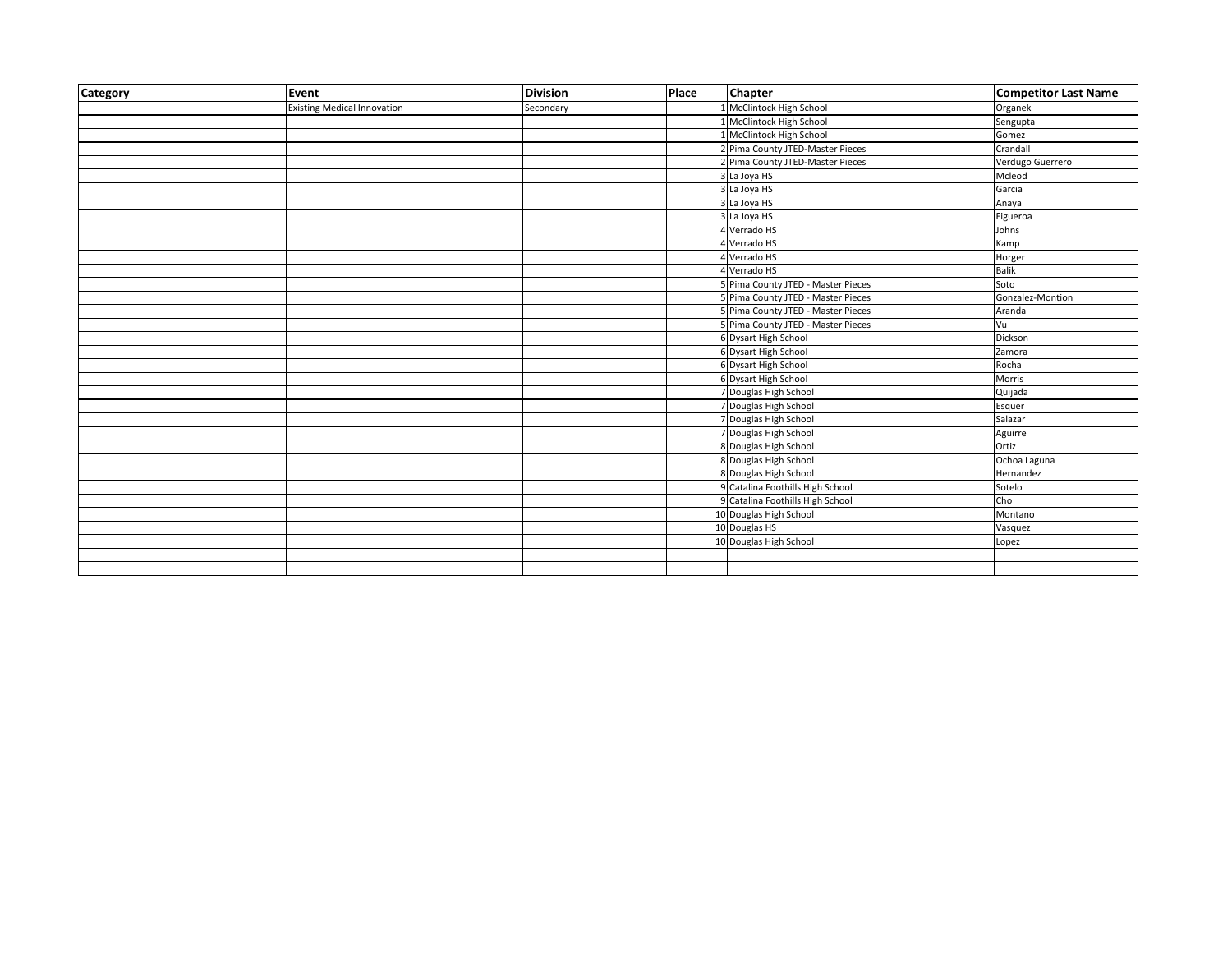| Category | Event                              | <b>Division</b> | Place | <b>Chapter</b>                     | <b>Competitor Last Name</b> |
|----------|------------------------------------|-----------------|-------|------------------------------------|-----------------------------|
|          | <b>Existing Medical Innovation</b> | Secondary       |       | McClintock High School             | Organek                     |
|          |                                    |                 |       | McClintock High School             | Sengupta                    |
|          |                                    |                 |       | McClintock High School             | Gomez                       |
|          |                                    |                 |       | 2 Pima County JTED-Master Pieces   | Crandall                    |
|          |                                    |                 |       | 2 Pima County JTED-Master Pieces   | Verdugo Guerrero            |
|          |                                    |                 |       | 3 La Joya HS                       | Mcleod                      |
|          |                                    |                 |       | 3 La Joya HS                       | Garcia                      |
|          |                                    |                 |       | La Joya HS                         | Anaya                       |
|          |                                    |                 |       | La Joya HS                         | Figueroa                    |
|          |                                    |                 |       | Verrado HS                         | Johns                       |
|          |                                    |                 |       | 4 Verrado HS                       | Kamp                        |
|          |                                    |                 |       | Verrado HS                         | Horger                      |
|          |                                    |                 |       | Verrado HS                         | Balik                       |
|          |                                    |                 |       | Pima County JTED - Master Pieces   | Soto                        |
|          |                                    |                 |       | 5 Pima County JTED - Master Pieces | Gonzalez-Montion            |
|          |                                    |                 |       | 5 Pima County JTED - Master Pieces | Aranda                      |
|          |                                    |                 |       | 5 Pima County JTED - Master Pieces | Vu                          |
|          |                                    |                 |       | 6 Dysart High School               | Dickson                     |
|          |                                    |                 |       | 6 Dysart High School               | Zamora                      |
|          |                                    |                 |       | 6 Dysart High School               | Rocha                       |
|          |                                    |                 |       | 6 Dysart High School               | Morris                      |
|          |                                    |                 |       | 7 Douglas High School              | Quijada                     |
|          |                                    |                 |       | 7 Douglas High School              | Esquer                      |
|          |                                    |                 |       | 7 Douglas High School              | Salazar                     |
|          |                                    |                 |       | 7 Douglas High School              | Aguirre                     |
|          |                                    |                 |       | 8 Douglas High School              | Ortiz                       |
|          |                                    |                 |       | 8 Douglas High School              | Ochoa Laguna                |
|          |                                    |                 |       | 8 Douglas High School              | Hernandez                   |
|          |                                    |                 |       | 9 Catalina Foothills High School   | Sotelo                      |
|          |                                    |                 |       | 9 Catalina Foothills High School   | Cho                         |
|          |                                    |                 |       | 10 Douglas High School             | Montano                     |
|          |                                    |                 |       | 10 Douglas HS                      | Vasquez                     |
|          |                                    |                 |       | 10 Douglas High School             | Lopez                       |
|          |                                    |                 |       |                                    |                             |
|          |                                    |                 |       |                                    |                             |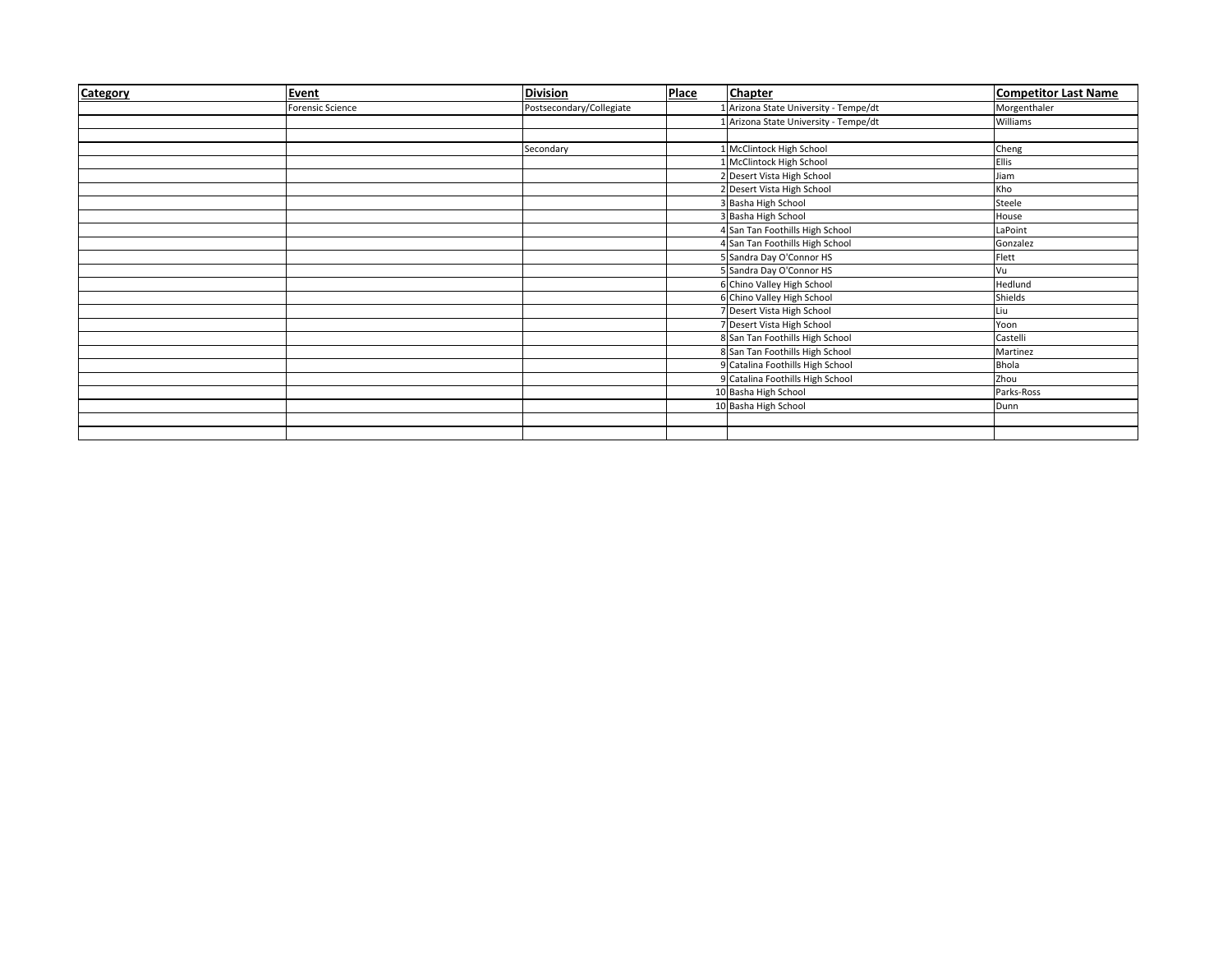| Category | Event            | <b>Division</b>          | Place | <b>Chapter</b>                        | <b>Competitor Last Name</b> |
|----------|------------------|--------------------------|-------|---------------------------------------|-----------------------------|
|          | Forensic Science | Postsecondary/Collegiate |       | Arizona State University - Tempe/dt   | Morgenthaler                |
|          |                  |                          |       | Arizona State University - Tempe/dt   | Williams                    |
|          |                  |                          |       |                                       |                             |
|          |                  | Secondary                |       | McClintock High School                | Cheng                       |
|          |                  |                          |       | McClintock High School                | <b>Ellis</b>                |
|          |                  |                          |       | 2 Desert Vista High School            | Jiam                        |
|          |                  |                          |       | 2 Desert Vista High School            | Kho                         |
|          |                  |                          |       | <b>Basha High School</b>              | Steele                      |
|          |                  |                          |       | <b>Basha High School</b>              | House                       |
|          |                  |                          |       | 4 San Tan Foothills High School       | LaPoint                     |
|          |                  |                          |       | San Tan Foothills High School         | Gonzalez                    |
|          |                  |                          |       | 5 Sandra Day O'Connor HS              | Flett                       |
|          |                  |                          |       | 5 Sandra Day O'Connor HS              | Vu                          |
|          |                  |                          |       | 6 Chino Valley High School            | Hedlund                     |
|          |                  |                          |       | 6 Chino Valley High School            | Shields                     |
|          |                  |                          |       | Desert Vista High School              | Liu                         |
|          |                  |                          |       | Desert Vista High School              | Yoon                        |
|          |                  |                          |       | 8 San Tan Foothills High School       | Castelli                    |
|          |                  |                          |       | 8 San Tan Foothills High School       | Martinez                    |
|          |                  |                          |       | <b>Catalina Foothills High School</b> | <b>Bhola</b>                |
|          |                  |                          |       | 9 Catalina Foothills High School      | Zhou                        |
|          |                  |                          |       | 10 Basha High School                  | Parks-Ross                  |
|          |                  |                          |       | 10 Basha High School                  | Dunn                        |
|          |                  |                          |       |                                       |                             |
|          |                  |                          |       |                                       |                             |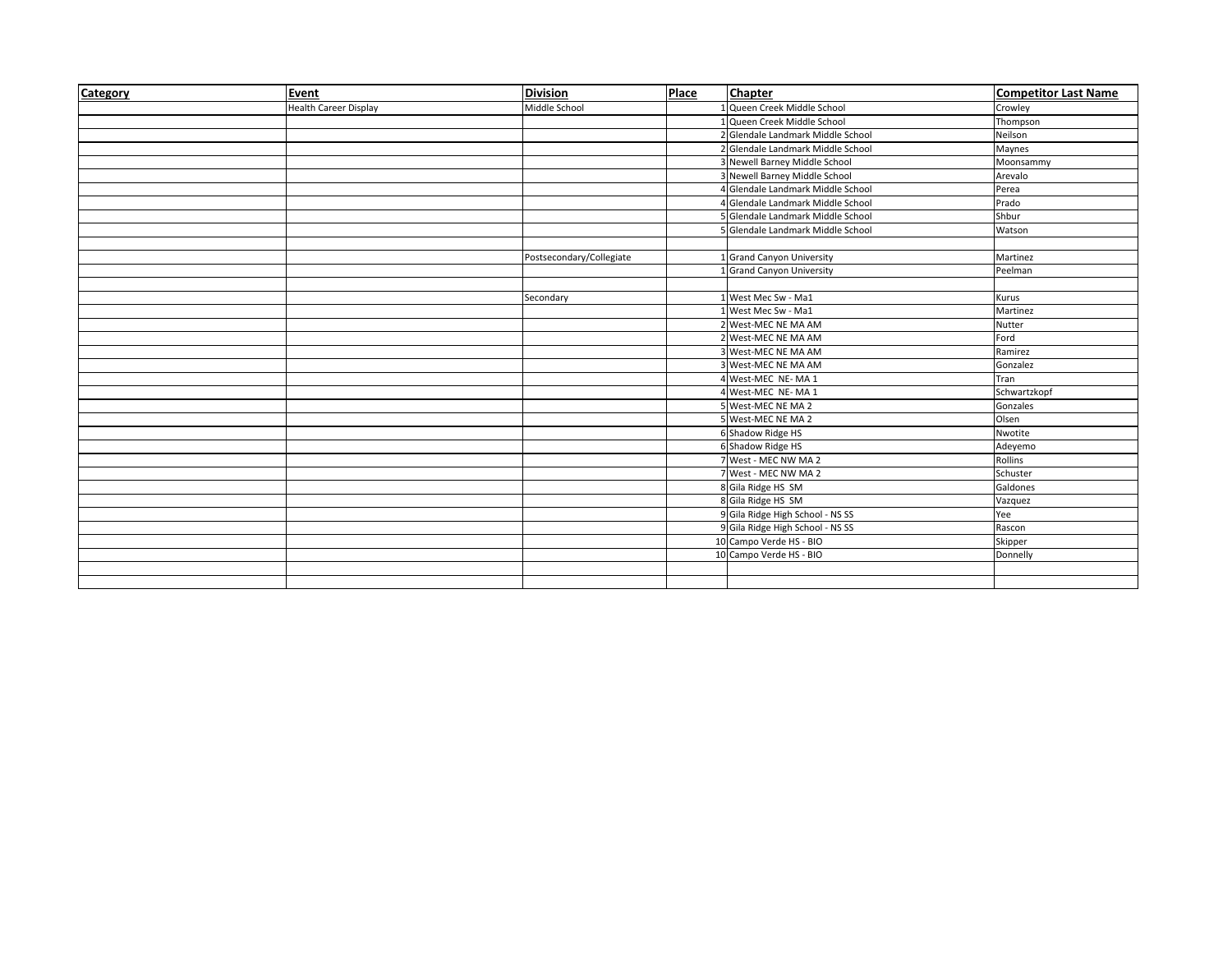| Category | Event                 | <b>Division</b>          | Place | <b>Chapter</b>                    | <b>Competitor Last Name</b> |
|----------|-----------------------|--------------------------|-------|-----------------------------------|-----------------------------|
|          | Health Career Display | Middle School            |       | 1 Queen Creek Middle School       | Crowley                     |
|          |                       |                          |       | 1 Queen Creek Middle School       | Thompson                    |
|          |                       |                          |       | 2 Glendale Landmark Middle School | Neilson                     |
|          |                       |                          |       | 2 Glendale Landmark Middle School | Maynes                      |
|          |                       |                          |       | 3 Newell Barney Middle School     | Moonsammy                   |
|          |                       |                          |       | 3 Newell Barney Middle School     | Arevalo                     |
|          |                       |                          |       | 4 Glendale Landmark Middle School | Perea                       |
|          |                       |                          |       | 4 Glendale Landmark Middle School | Prado                       |
|          |                       |                          |       | 5 Glendale Landmark Middle School | Shbur                       |
|          |                       |                          |       | 5 Glendale Landmark Middle School | Watson                      |
|          |                       |                          |       |                                   |                             |
|          |                       | Postsecondary/Collegiate |       | 1 Grand Canyon University         | Martinez                    |
|          |                       |                          |       | 1 Grand Canyon University         | Peelman                     |
|          |                       |                          |       |                                   |                             |
|          |                       | Secondary                |       | 1 West Mec Sw - Ma1               | Kurus                       |
|          |                       |                          |       | 1 West Mec Sw - Ma1               | Martinez                    |
|          |                       |                          |       | 2 West-MEC NE MA AM               | Nutter                      |
|          |                       |                          |       | 2 West-MEC NE MA AM               | Ford                        |
|          |                       |                          |       | 3 West-MEC NE MA AM               | Ramirez                     |
|          |                       |                          |       | 3 West-MEC NE MA AM               | Gonzalez                    |
|          |                       |                          |       | 4 West-MEC NE-MA1                 | Tran                        |
|          |                       |                          |       | 4 West-MEC NE-MA1                 | Schwartzkopf                |
|          |                       |                          |       | 5 West-MEC NE MA 2                | Gonzales                    |
|          |                       |                          |       | 5 West-MEC NE MA 2                | Olsen                       |
|          |                       |                          |       | 6 Shadow Ridge HS                 | Nwotite                     |
|          |                       |                          |       | 6 Shadow Ridge HS                 | Adeyemo                     |
|          |                       |                          |       | 7 West - MEC NW MA 2              | <b>Rollins</b>              |
|          |                       |                          |       | 7 West - MEC NW MA 2              | Schuster                    |
|          |                       |                          |       | 8 Gila Ridge HS SM                | Galdones                    |
|          |                       |                          |       | 8 Gila Ridge HS SM                | Vazquez                     |
|          |                       |                          |       | 9 Gila Ridge High School - NS SS  | Yee                         |
|          |                       |                          |       | 9 Gila Ridge High School - NS SS  | Rascon                      |
|          |                       |                          |       | 10 Campo Verde HS - BIO           | Skipper                     |
|          |                       |                          |       | 10 Campo Verde HS - BIO           | Donnelly                    |
|          |                       |                          |       |                                   |                             |
|          |                       |                          |       |                                   |                             |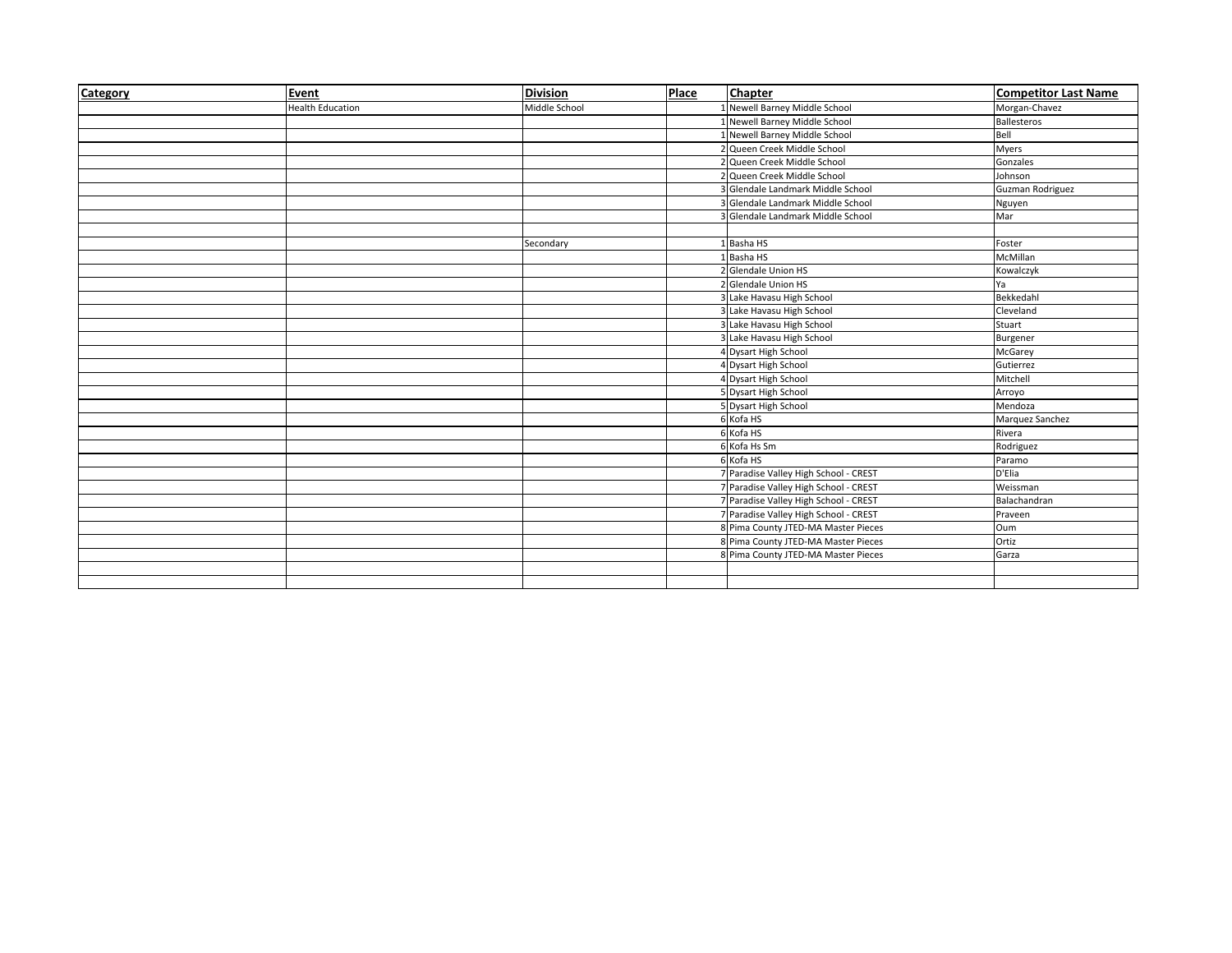| Category | Event                   | <b>Division</b> | Place | <b>Chapter</b>                        | <b>Competitor Last Name</b> |
|----------|-------------------------|-----------------|-------|---------------------------------------|-----------------------------|
|          | <b>Health Education</b> | Middle School   |       | 1 Newell Barney Middle School         | Morgan-Chavez               |
|          |                         |                 |       | 1 Newell Barney Middle School         | <b>Ballesteros</b>          |
|          |                         |                 |       | 1 Newell Barney Middle School         | Bell                        |
|          |                         |                 |       | 2 Queen Creek Middle School           | <b>Myers</b>                |
|          |                         |                 |       | 2 Queen Creek Middle School           | Gonzales                    |
|          |                         |                 |       | 2 Queen Creek Middle School           | Johnson                     |
|          |                         |                 |       | Glendale Landmark Middle School       | Guzman Rodriguez            |
|          |                         |                 |       | 3 Glendale Landmark Middle School     | Nguyen                      |
|          |                         |                 |       | 3 Glendale Landmark Middle School     | Mar                         |
|          |                         |                 |       |                                       |                             |
|          |                         | Secondary       |       | 1 Basha HS                            | Foster                      |
|          |                         |                 |       | 1 Basha HS                            | McMillan                    |
|          |                         |                 |       | 2 Glendale Union HS                   | Kowalczyk                   |
|          |                         |                 |       | 2 Glendale Union HS                   | Ya                          |
|          |                         |                 |       | 3 Lake Havasu High School             | Bekkedahl                   |
|          |                         |                 |       | 3 Lake Havasu High School             | Cleveland                   |
|          |                         |                 |       | 3 Lake Havasu High School             | Stuart                      |
|          |                         |                 |       | 3 Lake Havasu High School             | Burgener                    |
|          |                         |                 |       | 4 Dysart High School                  | McGarey                     |
|          |                         |                 |       | 4 Dysart High School                  | Gutierrez                   |
|          |                         |                 |       | 4 Dysart High School                  | Mitchell                    |
|          |                         |                 |       | <b>Dysart High School</b>             | Arroyo                      |
|          |                         |                 |       | 5 Dysart High School                  | Mendoza                     |
|          |                         |                 |       | 6 Kofa HS                             | Marquez Sanchez             |
|          |                         |                 |       | 6 Kofa HS                             | Rivera                      |
|          |                         |                 |       | 6 Kofa Hs Sm                          | Rodriguez                   |
|          |                         |                 |       | 6 Kofa HS                             | Paramo                      |
|          |                         |                 |       | 7 Paradise Valley High School - CREST | D'Elia                      |
|          |                         |                 |       | 7 Paradise Valley High School - CREST | Weissman                    |
|          |                         |                 |       | 7 Paradise Valley High School - CREST | Balachandran                |
|          |                         |                 |       | 7 Paradise Valley High School - CREST | Praveen                     |
|          |                         |                 |       | 8 Pima County JTED-MA Master Pieces   | Oum                         |
|          |                         |                 |       | 8 Pima County JTED-MA Master Pieces   | Ortiz                       |
|          |                         |                 |       | 8 Pima County JTED-MA Master Pieces   | Garza                       |
|          |                         |                 |       |                                       |                             |
|          |                         |                 |       |                                       |                             |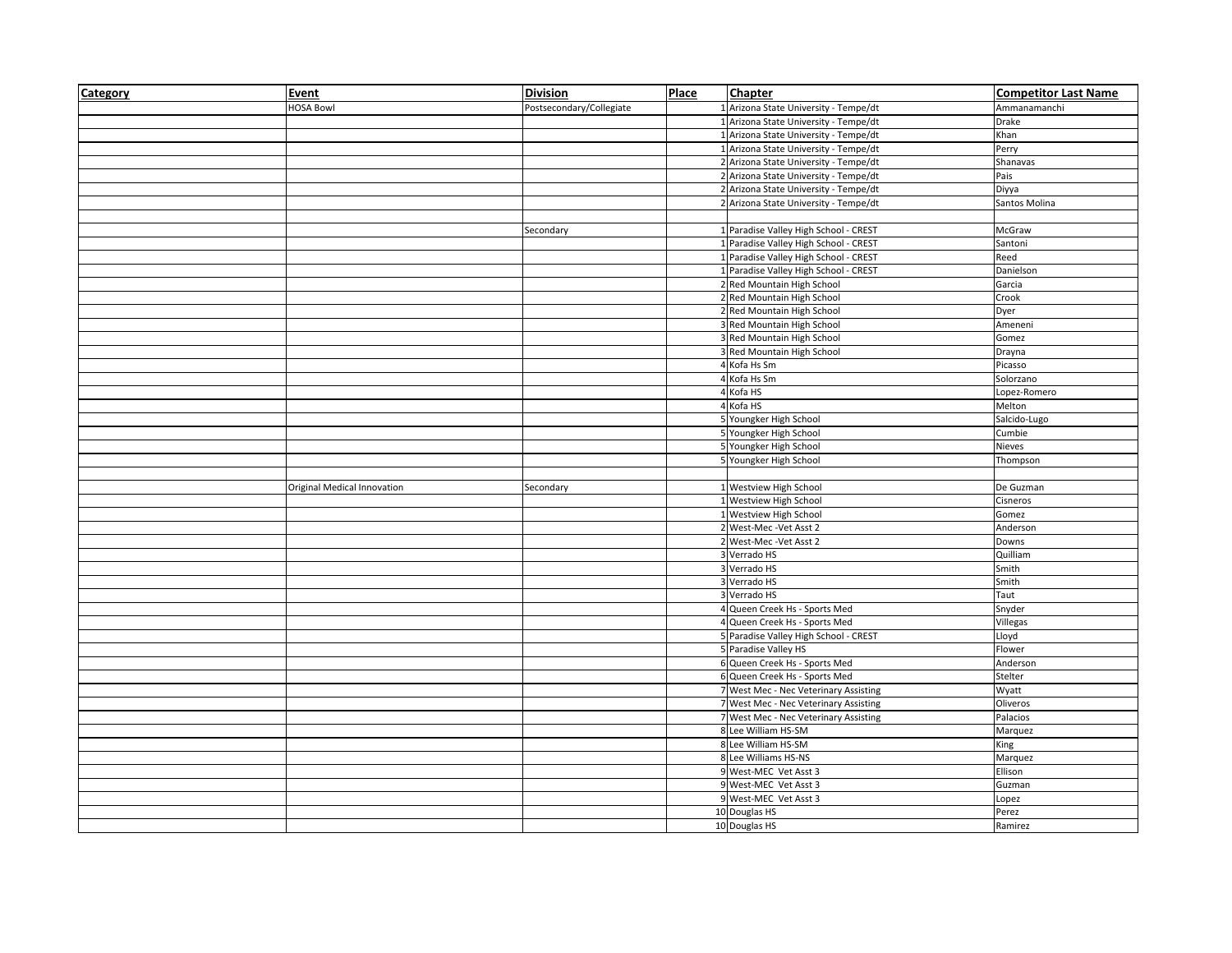| Category | Event                       | <b>Division</b>          | Place | <b>Chapter</b>                        | <b>Competitor Last Name</b> |
|----------|-----------------------------|--------------------------|-------|---------------------------------------|-----------------------------|
|          | <b>HOSA Bowl</b>            | Postsecondary/Collegiate |       | 1 Arizona State University - Tempe/dt | Ammanamanchi                |
|          |                             |                          |       | 1 Arizona State University - Tempe/dt | Drake                       |
|          |                             |                          |       | 1 Arizona State University - Tempe/dt | Khan                        |
|          |                             |                          |       | 1 Arizona State University - Tempe/dt | Perry                       |
|          |                             |                          |       | 2 Arizona State University - Tempe/dt | Shanavas                    |
|          |                             |                          |       | 2 Arizona State University - Tempe/dt | Pais                        |
|          |                             |                          |       | 2 Arizona State University - Tempe/dt | Diyya                       |
|          |                             |                          |       | 2 Arizona State University - Tempe/dt | Santos Molina               |
|          |                             |                          |       |                                       |                             |
|          |                             | Secondary                |       | 1 Paradise Valley High School - CREST | McGraw                      |
|          |                             |                          |       | 1 Paradise Valley High School - CREST | Santoni                     |
|          |                             |                          |       | 1 Paradise Valley High School - CREST | Reed                        |
|          |                             |                          |       | 1 Paradise Valley High School - CREST | Danielson                   |
|          |                             |                          |       | 2 Red Mountain High School            | Garcia                      |
|          |                             |                          |       | 2 Red Mountain High School            | Crook                       |
|          |                             |                          |       | 2 Red Mountain High School            | Dyer                        |
|          |                             |                          |       | 3 Red Mountain High School            | Ameneni                     |
|          |                             |                          |       | 3 Red Mountain High School            | Gomez                       |
|          |                             |                          |       | 3 Red Mountain High School            | Drayna                      |
|          |                             |                          |       | 4 Kofa Hs Sm                          | Picasso                     |
|          |                             |                          |       | 4 Kofa Hs Sm                          | Solorzano                   |
|          |                             |                          |       | Kofa HS                               | Lopez-Romero                |
|          |                             |                          |       | 4 Kofa HS                             | Melton                      |
|          |                             |                          |       | 5 Youngker High School                | Salcido-Lugo                |
|          |                             |                          |       | 5 Youngker High School                | Cumbie                      |
|          |                             |                          |       | 5 Youngker High School                | Nieves                      |
|          |                             |                          |       | 5 Youngker High School                | Thompson                    |
|          |                             |                          |       |                                       |                             |
|          | Original Medical Innovation | Secondary                |       | 1 Westview High School                | De Guzman                   |
|          |                             |                          |       | 1 Westview High School                | Cisneros                    |
|          |                             |                          |       | 1 Westview High School                | Gomez                       |
|          |                             |                          |       | 2 West-Mec - Vet Asst 2               | Anderson                    |
|          |                             |                          |       | 2 West-Mec - Vet Asst 2               | Downs                       |
|          |                             |                          |       | 3 Verrado HS                          | Quilliam                    |
|          |                             |                          |       | 3 Verrado HS                          | Smith                       |
|          |                             |                          |       | 3 Verrado HS                          | Smith                       |
|          |                             |                          |       | 3 Verrado HS                          | Taut                        |
|          |                             |                          |       | 4 Queen Creek Hs - Sports Med         | Snyder                      |
|          |                             |                          |       | 4 Queen Creek Hs - Sports Med         | Villegas                    |
|          |                             |                          |       | 5 Paradise Valley High School - CREST | Lloyd                       |
|          |                             |                          |       | 5 Paradise Valley HS                  | Flower                      |
|          |                             |                          |       | 6 Queen Creek Hs - Sports Med         | Anderson                    |
|          |                             |                          |       | 6 Queen Creek Hs - Sports Med         | Stelter                     |
|          |                             |                          |       | 7 West Mec - Nec Veterinary Assisting | Wyatt                       |
|          |                             |                          |       | 7 West Mec - Nec Veterinary Assisting | Oliveros                    |
|          |                             |                          |       | 7 West Mec - Nec Veterinary Assisting | Palacios                    |
|          |                             |                          |       | 8 Lee William HS-SM                   | Marquez                     |
|          |                             |                          |       | 8 Lee William HS-SM                   | King                        |
|          |                             |                          |       | 8 Lee Williams HS-NS                  | Marquez                     |
|          |                             |                          |       | 9 West-MEC Vet Asst 3                 | Ellison                     |
|          |                             |                          |       | 9 West-MEC Vet Asst 3                 | Guzman                      |
|          |                             |                          |       | 9 West-MEC Vet Asst 3                 | Lopez                       |
|          |                             |                          |       | 10 Douglas HS                         | Perez                       |
|          |                             |                          |       | 10 Douglas HS                         | Ramirez                     |
|          |                             |                          |       |                                       |                             |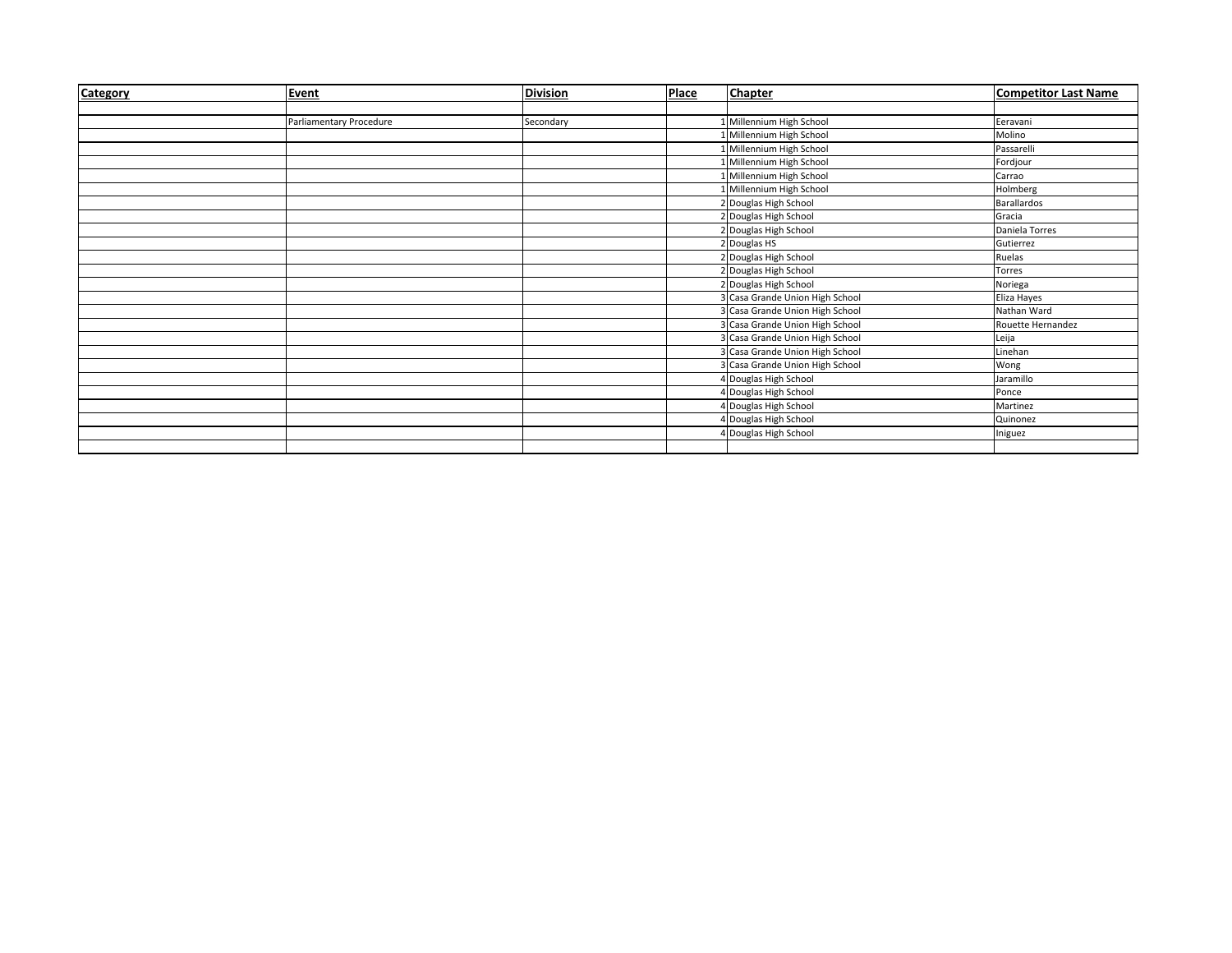| Category | Event                   | <b>Division</b> | <b>Place</b> | <b>Chapter</b>                         | <b>Competitor Last Name</b> |
|----------|-------------------------|-----------------|--------------|----------------------------------------|-----------------------------|
|          |                         |                 |              |                                        |                             |
|          | Parliamentary Procedure | Secondary       |              | 1 Millennium High School               | Eeravani                    |
|          |                         |                 |              | Millennium High School                 | Molino                      |
|          |                         |                 |              | 1 Millennium High School               | Passarelli                  |
|          |                         |                 |              | 1 Millennium High School               | Fordjour                    |
|          |                         |                 |              | 1 Millennium High School               | Carrao                      |
|          |                         |                 |              | 1 Millennium High School               | Holmberg                    |
|          |                         |                 |              | 2 Douglas High School                  | Barallardos                 |
|          |                         |                 |              | 2 Douglas High School                  | Gracia                      |
|          |                         |                 |              | 2 Douglas High School                  | Daniela Torres              |
|          |                         |                 |              | 2 Douglas HS                           | Gutierrez                   |
|          |                         |                 |              | 2 Douglas High School                  | Ruelas                      |
|          |                         |                 |              | 2 Douglas High School                  | Torres                      |
|          |                         |                 |              | 2 Douglas High School                  | Noriega                     |
|          |                         |                 |              | 3 Casa Grande Union High School        | Eliza Hayes                 |
|          |                         |                 |              | 3 Casa Grande Union High School        | Nathan Ward                 |
|          |                         |                 |              | 3 Casa Grande Union High School        | Rouette Hernandez           |
|          |                         |                 |              | 3 Casa Grande Union High School        | Leija                       |
|          |                         |                 |              | 3 Casa Grande Union High School        | Linehan                     |
|          |                         |                 |              | <b>3</b> Casa Grande Union High School | Wong                        |
|          |                         |                 |              | 4 Douglas High School                  | Jaramillo                   |
|          |                         |                 |              | 4 Douglas High School                  | Ponce                       |
|          |                         |                 |              | 4 Douglas High School                  | Martinez                    |
|          |                         |                 |              | 4 Douglas High School                  | Quinonez                    |
|          |                         |                 |              | 4 Douglas High School                  | Iniguez                     |
|          |                         |                 |              |                                        |                             |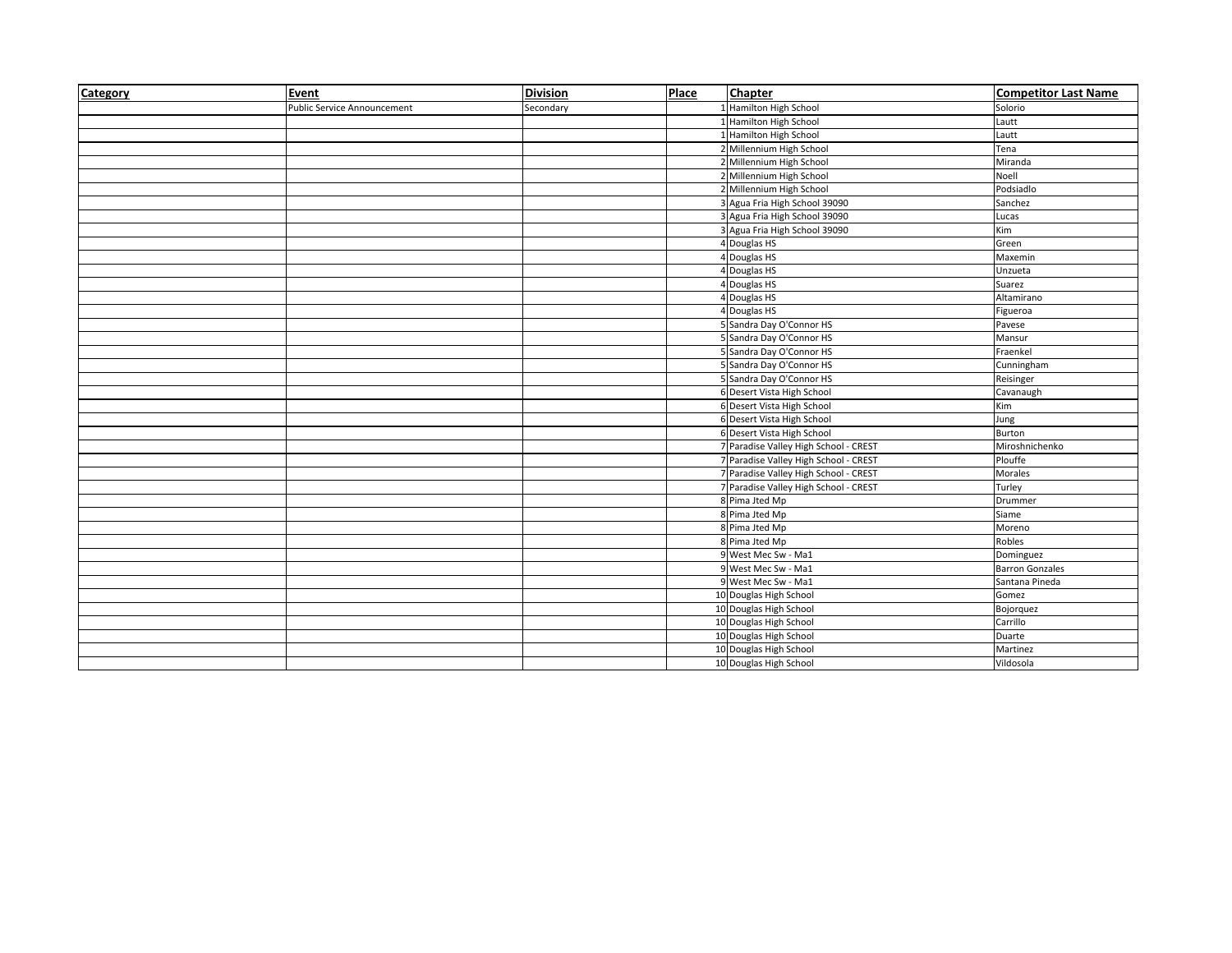| Category | Event                       | <b>Division</b> | Place | <b>Chapter</b>                        | <b>Competitor Last Name</b> |
|----------|-----------------------------|-----------------|-------|---------------------------------------|-----------------------------|
|          | Public Service Announcement | Secondary       |       | Hamilton High School                  | Solorio                     |
|          |                             |                 |       | 1 Hamilton High School                | Lautt                       |
|          |                             |                 |       | Hamilton High School                  | Lautt                       |
|          |                             |                 |       | 2 Millennium High School              | Tena                        |
|          |                             |                 |       | 2 Millennium High School              | Miranda                     |
|          |                             |                 |       | 2 Millennium High School              | Noell                       |
|          |                             |                 |       | 2 Millennium High School              | Podsiadlo                   |
|          |                             |                 |       | 3 Agua Fria High School 39090         | Sanchez                     |
|          |                             |                 |       | 3 Agua Fria High School 39090         | Lucas                       |
|          |                             |                 |       | 3 Agua Fria High School 39090         | Kim                         |
|          |                             |                 |       | 4 Douglas HS                          | Green                       |
|          |                             |                 |       | 4 Douglas HS                          | Maxemin                     |
|          |                             |                 |       | 4 Douglas HS                          | Unzueta                     |
|          |                             |                 |       | 4 Douglas HS                          | Suarez                      |
|          |                             |                 |       | 4 Douglas HS                          | Altamirano                  |
|          |                             |                 |       | 4 Douglas HS                          | Figueroa                    |
|          |                             |                 |       | 5 Sandra Day O'Connor HS              | Pavese                      |
|          |                             |                 |       | 5 Sandra Day O'Connor HS              | Mansur                      |
|          |                             |                 |       | 5 Sandra Day O'Connor HS              | Fraenkel                    |
|          |                             |                 |       | 5 Sandra Day O'Connor HS              | Cunningham                  |
|          |                             |                 |       | 5 Sandra Day O'Connor HS              | Reisinger                   |
|          |                             |                 |       | 6 Desert Vista High School            | Cavanaugh                   |
|          |                             |                 |       | 6 Desert Vista High School            | Kim                         |
|          |                             |                 |       | 6 Desert Vista High School            | Jung                        |
|          |                             |                 |       | 6 Desert Vista High School            | Burton                      |
|          |                             |                 |       | 7 Paradise Valley High School - CREST | Miroshnichenko              |
|          |                             |                 |       | 7 Paradise Valley High School - CREST | Plouffe                     |
|          |                             |                 |       | 7 Paradise Valley High School - CREST | Morales                     |
|          |                             |                 |       | 7 Paradise Valley High School - CREST | Turley                      |
|          |                             |                 |       | 8 Pima Jted Mp                        | Drummer                     |
|          |                             |                 |       | 8 Pima Jted Mp                        | Siame                       |
|          |                             |                 |       | 8 Pima Jted Mp                        | Moreno                      |
|          |                             |                 |       | 8 Pima Jted Mp                        | Robles                      |
|          |                             |                 |       | 9 West Mec Sw - Ma1                   | Dominguez                   |
|          |                             |                 |       | 9 West Mec Sw - Ma1                   | <b>Barron Gonzales</b>      |
|          |                             |                 |       | 9 West Mec Sw - Ma1                   | Santana Pineda              |
|          |                             |                 |       | 10 Douglas High School                | Gomez                       |
|          |                             |                 |       | 10 Douglas High School                | Bojorquez                   |
|          |                             |                 |       | 10 Douglas High School                | Carrillo                    |
|          |                             |                 |       | 10 Douglas High School                | Duarte                      |
|          |                             |                 |       | 10 Douglas High School                | Martinez                    |
|          |                             |                 |       | 10 Douglas High School                | Vildosola                   |